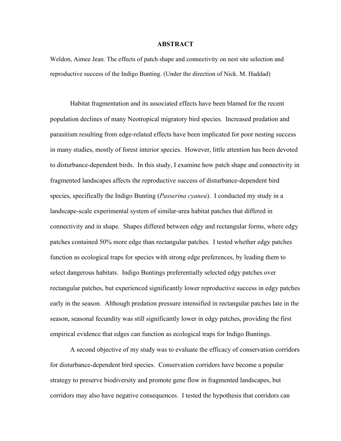#### **ABSTRACT**

Weldon, Aimee Jean. The effects of patch shape and connectivity on nest site selection and reproductive success of the Indigo Bunting. (Under the direction of Nick. M. Haddad)

Habitat fragmentation and its associated effects have been blamed for the recent population declines of many Neotropical migratory bird species. Increased predation and parasitism resulting from edge-related effects have been implicated for poor nesting success in many studies, mostly of forest interior species. However, little attention has been devoted to disturbance-dependent birds. In this study, I examine how patch shape and connectivity in fragmented landscapes affects the reproductive success of disturbance-dependent bird species, specifically the Indigo Bunting (*Passerina cyanea*). I conducted my study in a landscape-scale experimental system of similar-area habitat patches that differed in connectivity and in shape. Shapes differed between edgy and rectangular forms, where edgy patches contained 50% more edge than rectangular patches. I tested whether edgy patches function as ecological traps for species with strong edge preferences, by leading them to select dangerous habitats. Indigo Buntings preferentially selected edgy patches over rectangular patches, but experienced significantly lower reproductive success in edgy patches early in the season. Although predation pressure intensified in rectangular patches late in the season, seasonal fecundity was still significantly lower in edgy patches, providing the first empirical evidence that edges can function as ecological traps for Indigo Buntings.

A second objective of my study was to evaluate the efficacy of conservation corridors for disturbance-dependent bird species. Conservation corridors have become a popular strategy to preserve biodiversity and promote gene flow in fragmented landscapes, but corridors may also have negative consequences. I tested the hypothesis that corridors can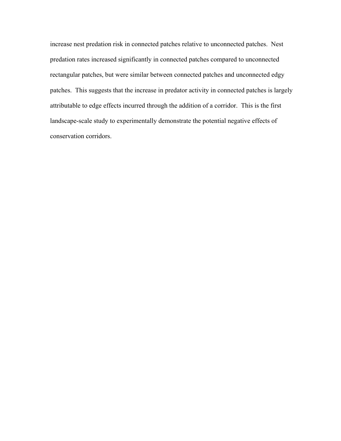increase nest predation risk in connected patches relative to unconnected patches. Nest predation rates increased significantly in connected patches compared to unconnected rectangular patches, but were similar between connected patches and unconnected edgy patches. This suggests that the increase in predator activity in connected patches is largely attributable to edge effects incurred through the addition of a corridor. This is the first landscape-scale study to experimentally demonstrate the potential negative effects of conservation corridors.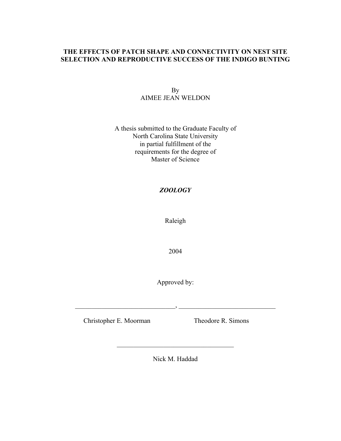# **THE EFFECTS OF PATCH SHAPE AND CONNECTIVITY ON NEST SITE SELECTION AND REPRODUCTIVE SUCCESS OF THE INDIGO BUNTING**

# By AIMEE JEAN WELDON

## A thesis submitted to the Graduate Faculty of North Carolina State University in partial fulfillment of the requirements for the degree of Master of Science

# *ZOOLOGY*

Raleigh

2004

Approved by:

 $\qquad \qquad , \qquad \qquad$ 

Christopher E. Moorman Theodore R. Simons

Nick M. Haddad

\_\_\_\_\_\_\_\_\_\_\_\_\_\_\_\_\_\_\_\_\_\_\_\_\_\_\_\_\_\_\_\_\_\_\_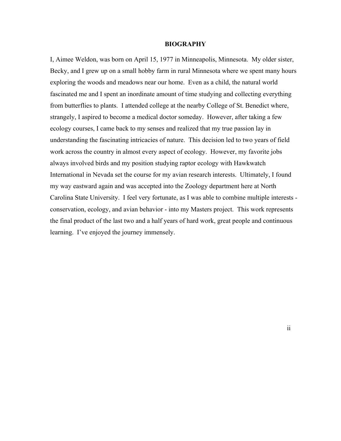#### **BIOGRAPHY**

I, Aimee Weldon, was born on April 15, 1977 in Minneapolis, Minnesota. My older sister, Becky, and I grew up on a small hobby farm in rural Minnesota where we spent many hours exploring the woods and meadows near our home. Even as a child, the natural world fascinated me and I spent an inordinate amount of time studying and collecting everything from butterflies to plants. I attended college at the nearby College of St. Benedict where, strangely, I aspired to become a medical doctor someday. However, after taking a few ecology courses, I came back to my senses and realized that my true passion lay in understanding the fascinating intricacies of nature. This decision led to two years of field work across the country in almost every aspect of ecology. However, my favorite jobs always involved birds and my position studying raptor ecology with Hawkwatch International in Nevada set the course for my avian research interests. Ultimately, I found my way eastward again and was accepted into the Zoology department here at North Carolina State University. I feel very fortunate, as I was able to combine multiple interests conservation, ecology, and avian behavior - into my Masters project. This work represents the final product of the last two and a half years of hard work, great people and continuous learning. I've enjoyed the journey immensely.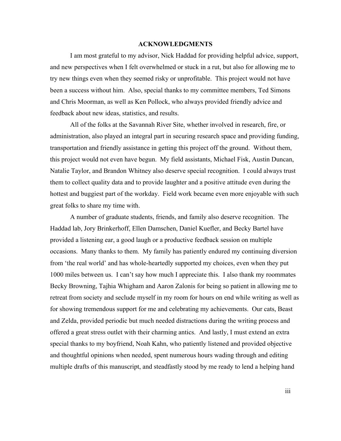### **ACKNOWLEDGMENTS**

 I am most grateful to my advisor, Nick Haddad for providing helpful advice, support, and new perspectives when I felt overwhelmed or stuck in a rut, but also for allowing me to try new things even when they seemed risky or unprofitable. This project would not have been a success without him. Also, special thanks to my committee members, Ted Simons and Chris Moorman, as well as Ken Pollock, who always provided friendly advice and feedback about new ideas, statistics, and results.

 All of the folks at the Savannah River Site, whether involved in research, fire, or administration, also played an integral part in securing research space and providing funding, transportation and friendly assistance in getting this project off the ground. Without them, this project would not even have begun. My field assistants, Michael Fisk, Austin Duncan, Natalie Taylor, and Brandon Whitney also deserve special recognition. I could always trust them to collect quality data and to provide laughter and a positive attitude even during the hottest and buggiest part of the workday. Field work became even more enjoyable with such great folks to share my time with.

 A number of graduate students, friends, and family also deserve recognition. The Haddad lab, Jory Brinkerhoff, Ellen Damschen, Daniel Kuefler, and Becky Bartel have provided a listening ear, a good laugh or a productive feedback session on multiple occasions. Many thanks to them. My family has patiently endured my continuing diversion from 'the real world' and has whole-heartedly supported my choices, even when they put 1000 miles between us. I can't say how much I appreciate this. I also thank my roommates Becky Browning, Tajhia Whigham and Aaron Zalonis for being so patient in allowing me to retreat from society and seclude myself in my room for hours on end while writing as well as for showing tremendous support for me and celebrating my achievements. Our cats, Beast and Zelda, provided periodic but much needed distractions during the writing process and offered a great stress outlet with their charming antics. And lastly, I must extend an extra special thanks to my boyfriend, Noah Kahn, who patiently listened and provided objective and thoughtful opinions when needed, spent numerous hours wading through and editing multiple drafts of this manuscript, and steadfastly stood by me ready to lend a helping hand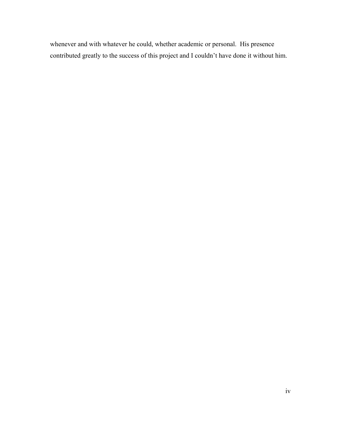whenever and with whatever he could, whether academic or personal. His presence contributed greatly to the success of this project and I couldn't have done it without him.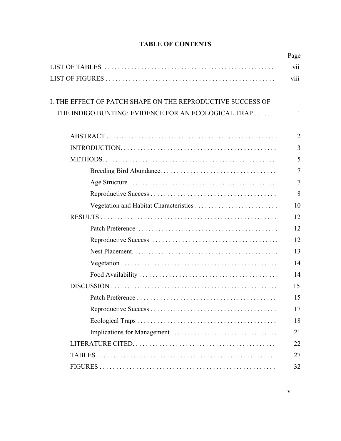| I. THE EFFECT OF PATCH SHAPE ON THE REPRODUCTIVE SUCCESS OF |  |
|-------------------------------------------------------------|--|
| THE INDIGO BUNTING: EVIDENCE FOR AN ECOLOGICAL TRAP         |  |
|                                                             |  |
|                                                             |  |
|                                                             |  |
|                                                             |  |
|                                                             |  |
|                                                             |  |
|                                                             |  |
|                                                             |  |
|                                                             |  |
|                                                             |  |
|                                                             |  |
|                                                             |  |
|                                                             |  |
|                                                             |  |
|                                                             |  |
|                                                             |  |
|                                                             |  |
|                                                             |  |
|                                                             |  |
|                                                             |  |
|                                                             |  |

# **TABLE OF CONTENTS**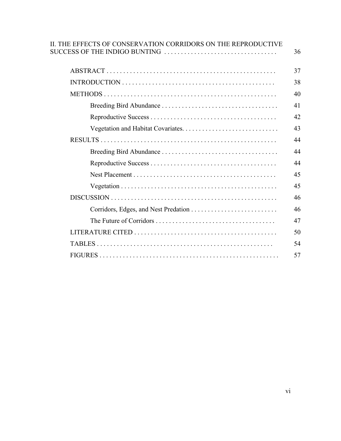| II. THE EFFECTS OF CONSERVATION CORRIDORS ON THE REPRODUCTIVE | 36 |
|---------------------------------------------------------------|----|
|                                                               | 37 |
|                                                               | 38 |
|                                                               | 40 |
|                                                               | 41 |
|                                                               | 42 |
|                                                               | 43 |
|                                                               | 44 |
|                                                               | 44 |
|                                                               | 44 |
|                                                               | 45 |
|                                                               | 45 |
|                                                               | 46 |
|                                                               | 46 |
|                                                               | 47 |
|                                                               | 50 |
|                                                               | 54 |
|                                                               | 57 |
|                                                               |    |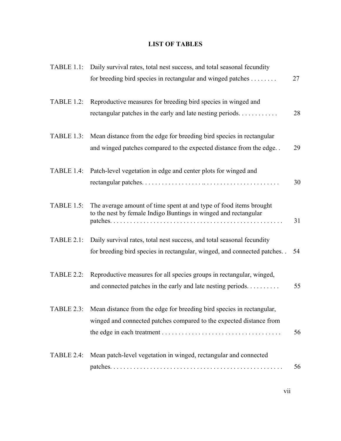# **LIST OF TABLES**

| <b>TABLE 1.1:</b> | Daily survival rates, total nest success, and total seasonal fecundity<br>for breeding bird species in rectangular and winged patches             | 27 |
|-------------------|---------------------------------------------------------------------------------------------------------------------------------------------------|----|
|                   | TABLE 1.2: Reproductive measures for breeding bird species in winged and<br>rectangular patches in the early and late nesting periods             | 28 |
| TABLE 1.3:        | Mean distance from the edge for breeding bird species in rectangular<br>and winged patches compared to the expected distance from the edge. .     | 29 |
| TABLE 1.4:        | Patch-level vegetation in edge and center plots for winged and                                                                                    | 30 |
| <b>TABLE 1.5:</b> | The average amount of time spent at and type of food items brought<br>to the nest by female Indigo Buntings in winged and rectangular             | 31 |
| <b>TABLE 2.1:</b> | Daily survival rates, total nest success, and total seasonal fecundity<br>for breeding bird species in rectangular, winged, and connected patches | 54 |
| <b>TABLE 2.2:</b> | Reproductive measures for all species groups in rectangular, winged,<br>and connected patches in the early and late nesting periods               | 55 |
| <b>TABLE 2.3:</b> | Mean distance from the edge for breeding bird species in rectangular,<br>winged and connected patches compared to the expected distance from      | 56 |
| TABLE 2.4:        | Mean patch-level vegetation in winged, rectangular and connected                                                                                  | 56 |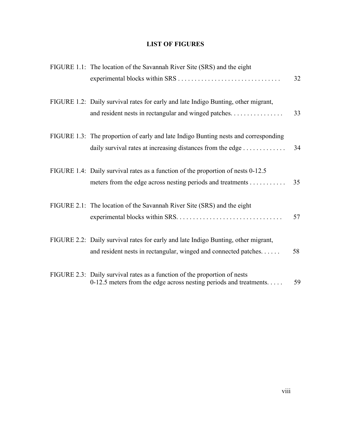# **LIST OF FIGURES**

| FIGURE 1.1: The location of the Savannah River Site (SRS) and the eight                                                                               | 32 |
|-------------------------------------------------------------------------------------------------------------------------------------------------------|----|
| FIGURE 1.2: Daily survival rates for early and late Indigo Bunting, other migrant,<br>and resident nests in rectangular and winged patches            | 33 |
| FIGURE 1.3: The proportion of early and late Indigo Bunting nests and corresponding<br>daily survival rates at increasing distances from the edge     | 34 |
| FIGURE 1.4: Daily survival rates as a function of the proportion of nests 0-12.5<br>meters from the edge across nesting periods and treatments        | 35 |
| FIGURE 2.1: The location of the Savannah River Site (SRS) and the eight                                                                               | 57 |
| FIGURE 2.2: Daily survival rates for early and late Indigo Bunting, other migrant,<br>and resident nests in rectangular, winged and connected patches | 58 |
| FIGURE 2.3: Daily survival rates as a function of the proportion of nests<br>0-12.5 meters from the edge across nesting periods and treatments        | 59 |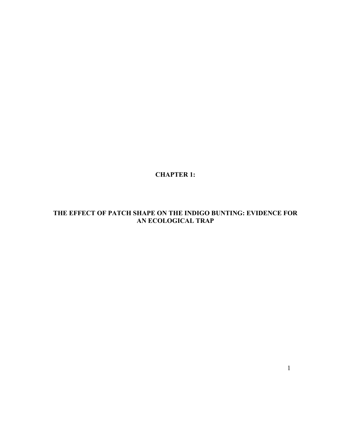**CHAPTER 1:** 

# **THE EFFECT OF PATCH SHAPE ON THE INDIGO BUNTING: EVIDENCE FOR AN ECOLOGICAL TRAP**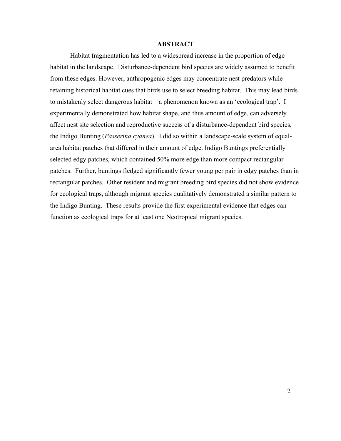### **ABSTRACT**

Habitat fragmentation has led to a widespread increase in the proportion of edge habitat in the landscape. Disturbance-dependent bird species are widely assumed to benefit from these edges. However, anthropogenic edges may concentrate nest predators while retaining historical habitat cues that birds use to select breeding habitat. This may lead birds to mistakenly select dangerous habitat – a phenomenon known as an 'ecological trap'. I experimentally demonstrated how habitat shape, and thus amount of edge, can adversely affect nest site selection and reproductive success of a disturbance-dependent bird species, the Indigo Bunting (*Passerina cyanea*). I did so within a landscape-scale system of equalarea habitat patches that differed in their amount of edge. Indigo Buntings preferentially selected edgy patches, which contained 50% more edge than more compact rectangular patches. Further, buntings fledged significantly fewer young per pair in edgy patches than in rectangular patches. Other resident and migrant breeding bird species did not show evidence for ecological traps, although migrant species qualitatively demonstrated a similar pattern to the Indigo Bunting. These results provide the first experimental evidence that edges can function as ecological traps for at least one Neotropical migrant species.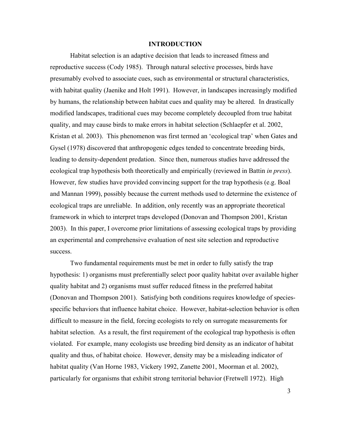#### **INTRODUCTION**

Habitat selection is an adaptive decision that leads to increased fitness and reproductive success (Cody 1985). Through natural selective processes, birds have presumably evolved to associate cues, such as environmental or structural characteristics, with habitat quality (Jaenike and Holt 1991). However, in landscapes increasingly modified by humans, the relationship between habitat cues and quality may be altered. In drastically modified landscapes, traditional cues may become completely decoupled from true habitat quality, and may cause birds to make errors in habitat selection (Schlaepfer et al. 2002, Kristan et al. 2003). This phenomenon was first termed an 'ecological trap' when Gates and Gysel (1978) discovered that anthropogenic edges tended to concentrate breeding birds, leading to density-dependent predation. Since then, numerous studies have addressed the ecological trap hypothesis both theoretically and empirically (reviewed in Battin *in press*). However, few studies have provided convincing support for the trap hypothesis (e.g. Boal and Mannan 1999), possibly because the current methods used to determine the existence of ecological traps are unreliable. In addition, only recently was an appropriate theoretical framework in which to interpret traps developed (Donovan and Thompson 2001, Kristan 2003). In this paper, I overcome prior limitations of assessing ecological traps by providing an experimental and comprehensive evaluation of nest site selection and reproductive success.

 Two fundamental requirements must be met in order to fully satisfy the trap hypothesis: 1) organisms must preferentially select poor quality habitat over available higher quality habitat and 2) organisms must suffer reduced fitness in the preferred habitat (Donovan and Thompson 2001). Satisfying both conditions requires knowledge of speciesspecific behaviors that influence habitat choice. However, habitat-selection behavior is often difficult to measure in the field, forcing ecologists to rely on surrogate measurements for habitat selection. As a result, the first requirement of the ecological trap hypothesis is often violated. For example, many ecologists use breeding bird density as an indicator of habitat quality and thus, of habitat choice. However, density may be a misleading indicator of habitat quality (Van Horne 1983, Vickery 1992, Zanette 2001, Moorman et al. 2002), particularly for organisms that exhibit strong territorial behavior (Fretwell 1972). High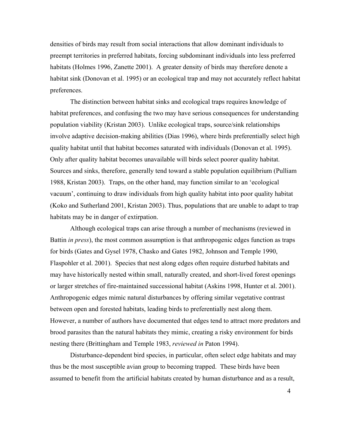densities of birds may result from social interactions that allow dominant individuals to preempt territories in preferred habitats, forcing subdominant individuals into less preferred habitats (Holmes 1996, Zanette 2001). A greater density of birds may therefore denote a habitat sink (Donovan et al. 1995) or an ecological trap and may not accurately reflect habitat preferences.

The distinction between habitat sinks and ecological traps requires knowledge of habitat preferences, and confusing the two may have serious consequences for understanding population viability (Kristan 2003). Unlike ecological traps, source/sink relationships involve adaptive decision-making abilities (Dias 1996), where birds preferentially select high quality habitat until that habitat becomes saturated with individuals (Donovan et al. 1995). Only after quality habitat becomes unavailable will birds select poorer quality habitat. Sources and sinks, therefore, generally tend toward a stable population equilibrium (Pulliam 1988, Kristan 2003). Traps, on the other hand, may function similar to an 'ecological vacuum', continuing to draw individuals from high quality habitat into poor quality habitat (Koko and Sutherland 2001, Kristan 2003). Thus, populations that are unable to adapt to trap habitats may be in danger of extirpation.

Although ecological traps can arise through a number of mechanisms (reviewed in Battin *in press*), the most common assumption is that anthropogenic edges function as traps for birds (Gates and Gysel 1978, Chasko and Gates 1982, Johnson and Temple 1990, Flaspohler et al. 2001). Species that nest along edges often require disturbed habitats and may have historically nested within small, naturally created, and short-lived forest openings or larger stretches of fire-maintained successional habitat (Askins 1998, Hunter et al. 2001). Anthropogenic edges mimic natural disturbances by offering similar vegetative contrast between open and forested habitats, leading birds to preferentially nest along them. However, a number of authors have documented that edges tend to attract more predators and brood parasites than the natural habitats they mimic, creating a risky environment for birds nesting there (Brittingham and Temple 1983, *reviewed in* Paton 1994).

Disturbance-dependent bird species, in particular, often select edge habitats and may thus be the most susceptible avian group to becoming trapped. These birds have been assumed to benefit from the artificial habitats created by human disturbance and as a result,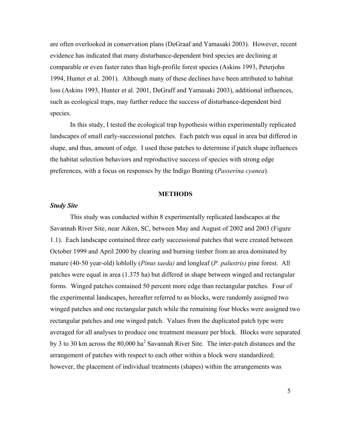are often overlooked in conservation plans (DeGraaf and Yamasaki 2003). However, recent evidence has indicated that many disturbance-dependent bird species are declining at comparable or even faster rates than high-profile forest species (Askins 1993, Peterjohn 1994, Hunter et al. 2001). Although many of these declines have been attributed to habitat loss (Askins 1993, Hunter et al. 2001, DeGraff and Yamasaki 2003), additional influences, such as ecological traps, may further reduce the success of disturbance-dependent bird species.

In this study, I tested the ecological trap hypothesis within experimentally replicated landscapes of small early-successional patches. Each patch was equal in area but differed in shape, and thus, amount of edge. I used these patches to determine if patch shape influences the habitat selection behaviors and reproductive success of species with strong edge preferences, with a focus on responses by the Indigo Bunting (*Passerina cyanea*).

#### **METHODS**

## *Study Site*

This study was conducted within 8 experimentally replicated landscapes at the Savannah River Site, near Aiken, SC, between May and August of 2002 and 2003 (Figure 1.1). Each landscape contained three early successional patches that were created between October 1999 and April 2000 by clearing and burning timber from an area dominated by mature (40-50 year-old) loblolly (*Pinus taeda)* and longleaf (*P. palustris)* pine forest. All patches were equal in area (1.375 ha) but differed in shape between winged and rectangular forms. Winged patches contained 50 percent more edge than rectangular patches. Four of the experimental landscapes, hereafter referred to as blocks, were randomly assigned two winged patches and one rectangular patch while the remaining four blocks were assigned two rectangular patches and one winged patch. Values from the duplicated patch type were averaged for all analyses to produce one treatment measure per block. Blocks were separated by 3 to 30 km across the  $80,000$  ha<sup>2</sup> Savannah River Site. The inter-patch distances and the arrangement of patches with respect to each other within a block were standardized; however, the placement of individual treatments (shapes) within the arrangements was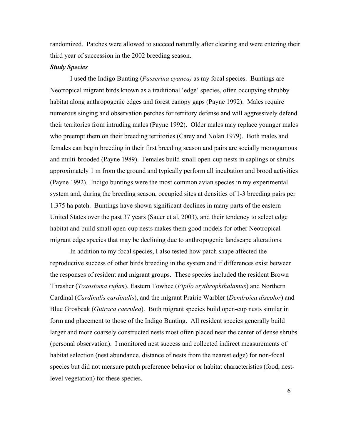randomized. Patches were allowed to succeed naturally after clearing and were entering their third year of succession in the 2002 breeding season.

## *Study Species*

I used the Indigo Bunting (*Passerina cyanea)* as my focal species. Buntings are Neotropical migrant birds known as a traditional 'edge' species, often occupying shrubby habitat along anthropogenic edges and forest canopy gaps (Payne 1992). Males require numerous singing and observation perches for territory defense and will aggressively defend their territories from intruding males (Payne 1992). Older males may replace younger males who preempt them on their breeding territories (Carey and Nolan 1979). Both males and females can begin breeding in their first breeding season and pairs are socially monogamous and multi-brooded (Payne 1989). Females build small open-cup nests in saplings or shrubs approximately 1 m from the ground and typically perform all incubation and brood activities (Payne 1992). Indigo buntings were the most common avian species in my experimental system and, during the breeding season, occupied sites at densities of 1-3 breeding pairs per 1.375 ha patch. Buntings have shown significant declines in many parts of the eastern United States over the past 37 years (Sauer et al. 2003), and their tendency to select edge habitat and build small open-cup nests makes them good models for other Neotropical migrant edge species that may be declining due to anthropogenic landscape alterations.

In addition to my focal species, I also tested how patch shape affected the reproductive success of other birds breeding in the system and if differences exist between the responses of resident and migrant groups. These species included the resident Brown Thrasher (*Toxostoma rufum*), Eastern Towhee (*Pipilo erythrophthalamus*) and Northern Cardinal (*Cardinalis cardinalis*), and the migrant Prairie Warbler (*Dendroica discolor*) and Blue Grosbeak (*Guiraca caerulea*). Both migrant species build open-cup nests similar in form and placement to those of the Indigo Bunting. All resident species generally build larger and more coarsely constructed nests most often placed near the center of dense shrubs (personal observation). I monitored nest success and collected indirect measurements of habitat selection (nest abundance, distance of nests from the nearest edge) for non-focal species but did not measure patch preference behavior or habitat characteristics (food, nestlevel vegetation) for these species.

 $\sim$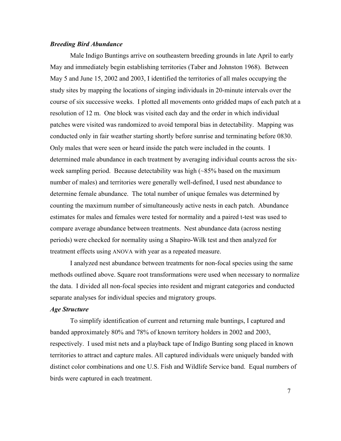### *Breeding Bird Abundance*

Male Indigo Buntings arrive on southeastern breeding grounds in late April to early May and immediately begin establishing territories (Taber and Johnston 1968). Between May 5 and June 15, 2002 and 2003, I identified the territories of all males occupying the study sites by mapping the locations of singing individuals in 20-minute intervals over the course of six successive weeks. I plotted all movements onto gridded maps of each patch at a resolution of 12 m. One block was visited each day and the order in which individual patches were visited was randomized to avoid temporal bias in detectability. Mapping was conducted only in fair weather starting shortly before sunrise and terminating before 0830. Only males that were seen or heard inside the patch were included in the counts. I determined male abundance in each treatment by averaging individual counts across the sixweek sampling period. Because detectability was high (~85% based on the maximum number of males) and territories were generally well-defined, I used nest abundance to determine female abundance. The total number of unique females was determined by counting the maximum number of simultaneously active nests in each patch. Abundance estimates for males and females were tested for normality and a paired t-test was used to compare average abundance between treatments. Nest abundance data (across nesting periods) were checked for normality using a Shapiro-Wilk test and then analyzed for treatment effects using ANOVA with year as a repeated measure.

I analyzed nest abundance between treatments for non-focal species using the same methods outlined above. Square root transformations were used when necessary to normalize the data. I divided all non-focal species into resident and migrant categories and conducted separate analyses for individual species and migratory groups.

## *Age Structure*

To simplify identification of current and returning male buntings, I captured and banded approximately 80% and 78% of known territory holders in 2002 and 2003, respectively. I used mist nets and a playback tape of Indigo Bunting song placed in known territories to attract and capture males. All captured individuals were uniquely banded with distinct color combinations and one U.S. Fish and Wildlife Service band. Equal numbers of birds were captured in each treatment.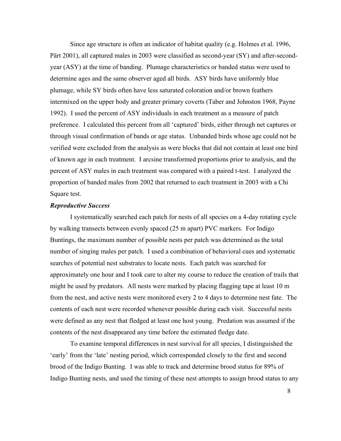Since age structure is often an indicator of habitat quality (e.g. Holmes et al. 1996, Pärt 2001), all captured males in 2003 were classified as second-year (SY) and after-secondyear (ASY) at the time of banding. Plumage characteristics or banded status were used to determine ages and the same observer aged all birds. ASY birds have uniformly blue plumage, while SY birds often have less saturated coloration and/or brown feathers intermixed on the upper body and greater primary coverts (Taber and Johnston 1968, Payne 1992). I used the percent of ASY individuals in each treatment as a measure of patch preference. I calculated this percent from all 'captured' birds, either through net captures or through visual confirmation of bands or age status. Unbanded birds whose age could not be verified were excluded from the analysis as were blocks that did not contain at least one bird of known age in each treatment. I arcsine transformed proportions prior to analysis, and the percent of ASY males in each treatment was compared with a paired t-test. I analyzed the proportion of banded males from 2002 that returned to each treatment in 2003 with a Chi Square test.

### *Reproductive Success*

I systematically searched each patch for nests of all species on a 4-day rotating cycle by walking transects between evenly spaced (25 m apart) PVC markers. For Indigo Buntings, the maximum number of possible nests per patch was determined as the total number of singing males per patch. I used a combination of behavioral cues and systematic searches of potential nest substrates to locate nests. Each patch was searched for approximately one hour and I took care to alter my course to reduce the creation of trails that might be used by predators. All nests were marked by placing flagging tape at least 10 m from the nest, and active nests were monitored every 2 to 4 days to determine nest fate. The contents of each nest were recorded whenever possible during each visit. Successful nests were defined as any nest that fledged at least one host young. Predation was assumed if the contents of the nest disappeared any time before the estimated fledge date.

To examine temporal differences in nest survival for all species, I distinguished the 'early' from the 'late' nesting period, which corresponded closely to the first and second brood of the Indigo Bunting. I was able to track and determine brood status for 89% of Indigo Bunting nests, and used the timing of these nest attempts to assign brood status to any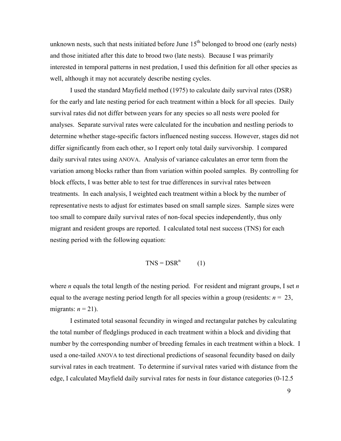unknown nests, such that nests initiated before June  $15<sup>th</sup>$  belonged to brood one (early nests) and those initiated after this date to brood two (late nests). Because I was primarily interested in temporal patterns in nest predation, I used this definition for all other species as well, although it may not accurately describe nesting cycles.

I used the standard Mayfield method (1975) to calculate daily survival rates (DSR) for the early and late nesting period for each treatment within a block for all species. Daily survival rates did not differ between years for any species so all nests were pooled for analyses. Separate survival rates were calculated for the incubation and nestling periods to determine whether stage-specific factors influenced nesting success. However, stages did not differ significantly from each other, so I report only total daily survivorship. I compared daily survival rates using ANOVA. Analysis of variance calculates an error term from the variation among blocks rather than from variation within pooled samples. By controlling for block effects, I was better able to test for true differences in survival rates between treatments. In each analysis, I weighted each treatment within a block by the number of representative nests to adjust for estimates based on small sample sizes. Sample sizes were too small to compare daily survival rates of non-focal species independently, thus only migrant and resident groups are reported. I calculated total nest success (TNS) for each nesting period with the following equation:

$$
TNS = DSRn \qquad (1)
$$

where *n* equals the total length of the nesting period. For resident and migrant groups, I set *n* equal to the average nesting period length for all species within a group (residents:  $n = 23$ , migrants:  $n = 21$ ).

I estimated total seasonal fecundity in winged and rectangular patches by calculating the total number of fledglings produced in each treatment within a block and dividing that number by the corresponding number of breeding females in each treatment within a block. I used a one-tailed ANOVA to test directional predictions of seasonal fecundity based on daily survival rates in each treatment. To determine if survival rates varied with distance from the edge, I calculated Mayfield daily survival rates for nests in four distance categories (0-12.5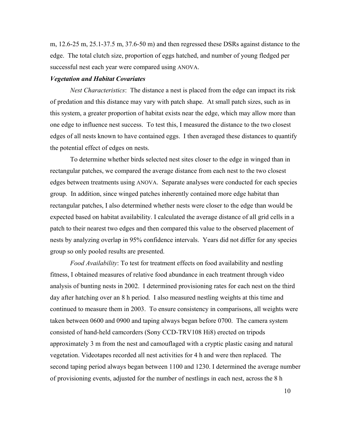m, 12.6-25 m, 25.1-37.5 m, 37.6-50 m) and then regressed these DSRs against distance to the edge. The total clutch size, proportion of eggs hatched, and number of young fledged per successful nest each year were compared using ANOVA.

#### *Vegetation and Habitat Covariates*

*Nest Characteristics*: The distance a nest is placed from the edge can impact its risk of predation and this distance may vary with patch shape. At small patch sizes, such as in this system, a greater proportion of habitat exists near the edge, which may allow more than one edge to influence nest success. To test this, I measured the distance to the two closest edges of all nests known to have contained eggs. I then averaged these distances to quantify the potential effect of edges on nests.

To determine whether birds selected nest sites closer to the edge in winged than in rectangular patches, we compared the average distance from each nest to the two closest edges between treatments using ANOVA. Separate analyses were conducted for each species group. In addition, since winged patches inherently contained more edge habitat than rectangular patches, I also determined whether nests were closer to the edge than would be expected based on habitat availability. I calculated the average distance of all grid cells in a patch to their nearest two edges and then compared this value to the observed placement of nests by analyzing overlap in 95% confidence intervals. Years did not differ for any species group so only pooled results are presented.

*Food Availability*: To test for treatment effects on food availability and nestling fitness, I obtained measures of relative food abundance in each treatment through video analysis of bunting nests in 2002. I determined provisioning rates for each nest on the third day after hatching over an 8 h period. I also measured nestling weights at this time and continued to measure them in 2003. To ensure consistency in comparisons, all weights were taken between 0600 and 0900 and taping always began before 0700. The camera system consisted of hand-held camcorders (Sony CCD-TRV108 Hi8) erected on tripods approximately 3 m from the nest and camouflaged with a cryptic plastic casing and natural vegetation. Videotapes recorded all nest activities for 4 h and were then replaced. The second taping period always began between 1100 and 1230. I determined the average number of provisioning events, adjusted for the number of nestlings in each nest, across the 8 h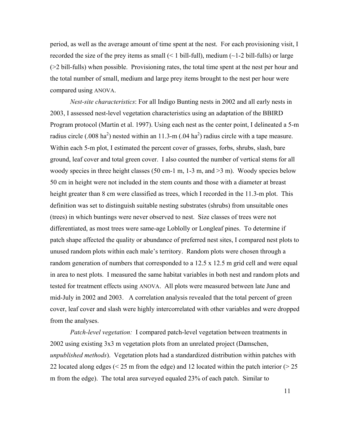period, as well as the average amount of time spent at the nest. For each provisioning visit, I recorded the size of the prey items as small  $(< 1$  bill-full), medium  $(-1-2)$  bill-fulls) or large (>2 bill-fulls) when possible.Provisioning rates, the total time spent at the nest per hour and the total number of small, medium and large prey items brought to the nest per hour were compared using ANOVA.

*Nest-site characteristics*: For all Indigo Bunting nests in 2002 and all early nests in 2003, I assessed nest-level vegetation characteristics using an adaptation of the BBIRD Program protocol (Martin et al. 1997). Using each nest as the center point, I delineated a 5-m radius circle (.008 ha<sup>2</sup>) nested within an 11.3-m (.04 ha<sup>2</sup>) radius circle with a tape measure. Within each 5-m plot, I estimated the percent cover of grasses, forbs, shrubs, slash, bare ground, leaf cover and total green cover. I also counted the number of vertical stems for all woody species in three height classes (50 cm-1 m, 1-3 m, and  $>3$  m). Woody species below 50 cm in height were not included in the stem counts and those with a diameter at breast height greater than 8 cm were classified as trees, which I recorded in the 11.3-m plot. This definition was set to distinguish suitable nesting substrates (shrubs) from unsuitable ones (trees) in which buntings were never observed to nest. Size classes of trees were not differentiated, as most trees were same-age Loblolly or Longleaf pines. To determine if patch shape affected the quality or abundance of preferred nest sites, I compared nest plots to unused random plots within each male's territory. Random plots were chosen through a random generation of numbers that corresponded to a 12.5 x 12.5 m grid cell and were equal in area to nest plots. I measured the same habitat variables in both nest and random plots and tested for treatment effects using ANOVA. All plots were measured between late June and mid-July in 2002 and 2003. A correlation analysis revealed that the total percent of green cover, leaf cover and slash were highly intercorrelated with other variables and were dropped from the analyses.

*Patch-level vegetation:* I compared patch-level vegetation between treatments in 2002 using existing 3x3 m vegetation plots from an unrelated project (Damschen, *unpublished methods*). Vegetation plots had a standardized distribution within patches with 22 located along edges (< 25 m from the edge) and 12 located within the patch interior (> 25 m from the edge). The total area surveyed equaled 23% of each patch. Similar to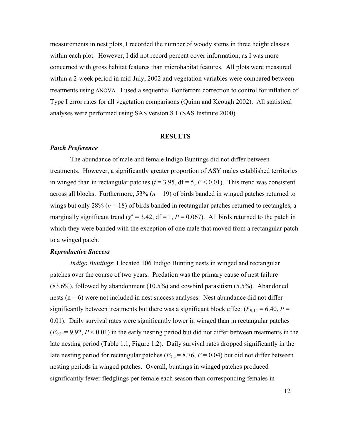measurements in nest plots, I recorded the number of woody stems in three height classes within each plot. However, I did not record percent cover information, as I was more concerned with gross habitat features than microhabitat features. All plots were measured within a 2-week period in mid-July, 2002 and vegetation variables were compared between treatments using ANOVA. I used a sequential Bonferroni correction to control for inflation of Type I error rates for all vegetation comparisons (Quinn and Keough 2002). All statistical analyses were performed using SAS version 8.1 (SAS Institute 2000).

#### **RESULTS**

## *Patch Preference*

The abundance of male and female Indigo Buntings did not differ between treatments. However, a significantly greater proportion of ASY males established territories in winged than in rectangular patches ( $t = 3.95$ ,  $df = 5$ ,  $P < 0.01$ ). This trend was consistent across all blocks. Furthermore,  $53\%$  ( $n = 19$ ) of birds banded in winged patches returned to wings but only 28% ( $n = 18$ ) of birds banded in rectangular patches returned to rectangles, a marginally significant trend ( $\chi^2$  = 3.42, df = 1, *P* = 0.067). All birds returned to the patch in which they were banded with the exception of one male that moved from a rectangular patch to a winged patch.

## *Reproductive Success*

*Indigo Buntings*: I located 106 Indigo Bunting nests in winged and rectangular patches over the course of two years. Predation was the primary cause of nest failure (83.6%), followed by abandonment (10.5%) and cowbird parasitism (5.5%). Abandoned nests  $(n = 6)$  were not included in nest success analyses. Nest abundance did not differ significantly between treatments but there was a significant block effect ( $F_{9,14} = 6.40$ ,  $P =$ 0.01). Daily survival rates were significantly lower in winged than in rectangular patches  $(F_{9,11}= 9.92, P < 0.01)$  in the early nesting period but did not differ between treatments in the late nesting period (Table 1.1, Figure 1.2). Daily survival rates dropped significantly in the late nesting period for rectangular patches  $(F<sub>7,4</sub> = 8.76, P = 0.04)$  but did not differ between nesting periods in winged patches. Overall, buntings in winged patches produced significantly fewer fledglings per female each season than corresponding females in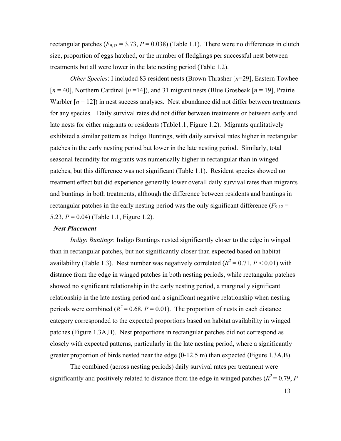rectangular patches  $(F_{9,13} = 3.73, P = 0.038)$  (Table 1.1). There were no differences in clutch size, proportion of eggs hatched, or the number of fledglings per successful nest between treatments but all were lower in the late nesting period (Table 1.2).

*Other Species*: I included 83 resident nests (Brown Thrasher [*n*=29], Eastern Towhee [*n* = 40], Northern Cardinal [*n* =14]), and 31 migrant nests (Blue Grosbeak [*n* = 19], Prairie Warbler  $[n = 12]$ ) in nest success analyses. Nest abundance did not differ between treatments for any species. Daily survival rates did not differ between treatments or between early and late nests for either migrants or residents (Table1.1, Figure 1.2). Migrants qualitatively exhibited a similar pattern as Indigo Buntings, with daily survival rates higher in rectangular patches in the early nesting period but lower in the late nesting period. Similarly, total seasonal fecundity for migrants was numerically higher in rectangular than in winged patches, but this difference was not significant (Table 1.1). Resident species showed no treatment effect but did experience generally lower overall daily survival rates than migrants and buntings in both treatments, although the difference between residents and buntings in rectangular patches in the early nesting period was the only significant difference  $(F_{9,12} =$ 5.23, *P* = 0.04) (Table 1.1, Figure 1.2).

## *Nest Placement*

*Indigo Buntings*: Indigo Buntings nested significantly closer to the edge in winged than in rectangular patches, but not significantly closer than expected based on habitat availability (Table 1.3). Nest number was negatively correlated  $(R^2 = 0.71, P \le 0.01)$  with distance from the edge in winged patches in both nesting periods, while rectangular patches showed no significant relationship in the early nesting period, a marginally significant relationship in the late nesting period and a significant negative relationship when nesting periods were combined  $(R^2 = 0.68, P = 0.01)$ . The proportion of nests in each distance category corresponded to the expected proportions based on habitat availability in winged patches (Figure 1.3A,B). Nest proportions in rectangular patches did not correspond as closely with expected patterns, particularly in the late nesting period, where a significantly greater proportion of birds nested near the edge (0-12.5 m) than expected (Figure 1.3A,B).

The combined (across nesting periods) daily survival rates per treatment were significantly and positively related to distance from the edge in winged patches ( $R^2 = 0.79$ , *P*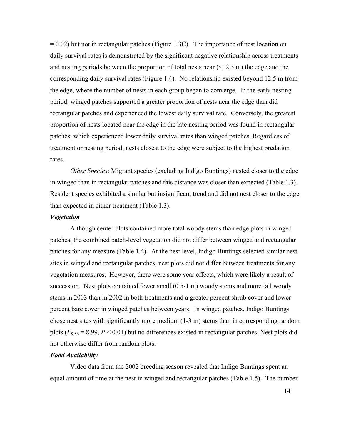$= 0.02$ ) but not in rectangular patches (Figure 1.3C). The importance of nest location on daily survival rates is demonstrated by the significant negative relationship across treatments and nesting periods between the proportion of total nests near  $(\leq 12.5 \text{ m})$  the edge and the corresponding daily survival rates (Figure 1.4). No relationship existed beyond 12.5 m from the edge, where the number of nests in each group began to converge. In the early nesting period, winged patches supported a greater proportion of nests near the edge than did rectangular patches and experienced the lowest daily survival rate. Conversely, the greatest proportion of nests located near the edge in the late nesting period was found in rectangular patches, which experienced lower daily survival rates than winged patches. Regardless of treatment or nesting period, nests closest to the edge were subject to the highest predation rates.

*Other Species*: Migrant species (excluding Indigo Buntings) nested closer to the edge in winged than in rectangular patches and this distance was closer than expected (Table 1.3). Resident species exhibited a similar but insignificant trend and did not nest closer to the edge than expected in either treatment (Table 1.3).

### *Vegetation*

Although center plots contained more total woody stems than edge plots in winged patches, the combined patch-level vegetation did not differ between winged and rectangular patches for any measure (Table 1.4). At the nest level, Indigo Buntings selected similar nest sites in winged and rectangular patches; nest plots did not differ between treatments for any vegetation measures. However, there were some year effects, which were likely a result of succession. Nest plots contained fewer small (0.5-1 m) woody stems and more tall woody stems in 2003 than in 2002 in both treatments and a greater percent shrub cover and lower percent bare cover in winged patches between years. In winged patches, Indigo Buntings chose nest sites with significantly more medium (1-3 m) stems than in corresponding random plots  $(F_{9,86} = 8.99, P < 0.01)$  but no differences existed in rectangular patches. Nest plots did not otherwise differ from random plots.

## *Food Availability*

Video data from the 2002 breeding season revealed that Indigo Buntings spent an equal amount of time at the nest in winged and rectangular patches (Table 1.5). The number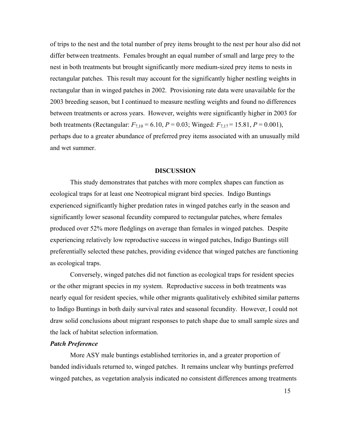of trips to the nest and the total number of prey items brought to the nest per hour also did not differ between treatments. Females brought an equal number of small and large prey to the nest in both treatments but brought significantly more medium-sized prey items to nests in rectangular patches. This result may account for the significantly higher nestling weights in rectangular than in winged patches in 2002. Provisioning rate data were unavailable for the 2003 breeding season, but I continued to measure nestling weights and found no differences between treatments or across years. However, weights were significantly higher in 2003 for both treatments (Rectangular:  $F_{7,10} = 6.10$ ,  $P = 0.03$ ; Winged:  $F_{7,17} = 15.81$ ,  $P = 0.001$ ), perhaps due to a greater abundance of preferred prey items associated with an unusually mild and wet summer.

#### **DISCUSSION**

This study demonstrates that patches with more complex shapes can function as ecological traps for at least one Neotropical migrant bird species. Indigo Buntings experienced significantly higher predation rates in winged patches early in the season and significantly lower seasonal fecundity compared to rectangular patches, where females produced over 52% more fledglings on average than females in winged patches. Despite experiencing relatively low reproductive success in winged patches, Indigo Buntings still preferentially selected these patches, providing evidence that winged patches are functioning as ecological traps.

Conversely, winged patches did not function as ecological traps for resident species or the other migrant species in my system. Reproductive success in both treatments was nearly equal for resident species, while other migrants qualitatively exhibited similar patterns to Indigo Buntings in both daily survival rates and seasonal fecundity. However, I could not draw solid conclusions about migrant responses to patch shape due to small sample sizes and the lack of habitat selection information.

## *Patch Preference*

More ASY male buntings established territories in, and a greater proportion of banded individuals returned to, winged patches. It remains unclear why buntings preferred winged patches, as vegetation analysis indicated no consistent differences among treatments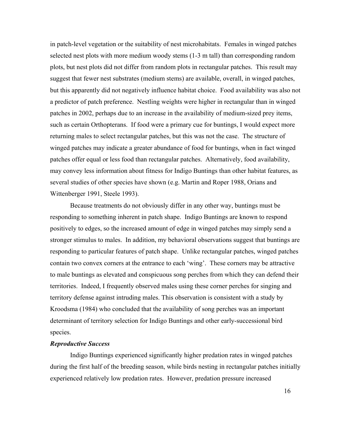in patch-level vegetation or the suitability of nest microhabitats. Females in winged patches selected nest plots with more medium woody stems (1-3 m tall) than corresponding random plots, but nest plots did not differ from random plots in rectangular patches. This result may suggest that fewer nest substrates (medium stems) are available, overall, in winged patches, but this apparently did not negatively influence habitat choice. Food availability was also not a predictor of patch preference. Nestling weights were higher in rectangular than in winged patches in 2002, perhaps due to an increase in the availability of medium-sized prey items, such as certain Orthopterans. If food were a primary cue for buntings, I would expect more returning males to select rectangular patches, but this was not the case. The structure of winged patches may indicate a greater abundance of food for buntings, when in fact winged patches offer equal or less food than rectangular patches. Alternatively, food availability, may convey less information about fitness for Indigo Buntings than other habitat features, as several studies of other species have shown (e.g. Martin and Roper 1988, Orians and Wittenberger 1991, Steele 1993).

Because treatments do not obviously differ in any other way, buntings must be responding to something inherent in patch shape. Indigo Buntings are known to respond positively to edges, so the increased amount of edge in winged patches may simply send a stronger stimulus to males. In addition, my behavioral observations suggest that buntings are responding to particular features of patch shape. Unlike rectangular patches, winged patches contain two convex corners at the entrance to each 'wing'. These corners may be attractive to male buntings as elevated and conspicuous song perches from which they can defend their territories. Indeed, I frequently observed males using these corner perches for singing and territory defense against intruding males. This observation is consistent with a study by Kroodsma (1984) who concluded that the availability of song perches was an important determinant of territory selection for Indigo Buntings and other early-successional bird species.

## *Reproductive Success*

Indigo Buntings experienced significantly higher predation rates in winged patches during the first half of the breeding season, while birds nesting in rectangular patches initially experienced relatively low predation rates. However, predation pressure increased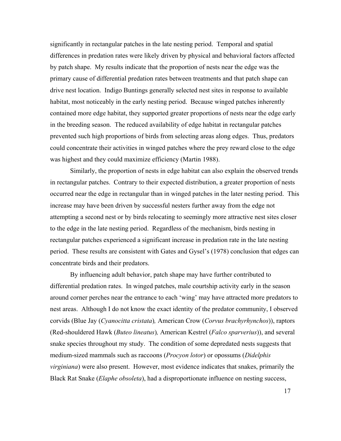significantly in rectangular patches in the late nesting period. Temporal and spatial differences in predation rates were likely driven by physical and behavioral factors affected by patch shape. My results indicate that the proportion of nests near the edge was the primary cause of differential predation rates between treatments and that patch shape can drive nest location. Indigo Buntings generally selected nest sites in response to available habitat, most noticeably in the early nesting period. Because winged patches inherently contained more edge habitat, they supported greater proportions of nests near the edge early in the breeding season. The reduced availability of edge habitat in rectangular patches prevented such high proportions of birds from selecting areas along edges. Thus, predators could concentrate their activities in winged patches where the prey reward close to the edge was highest and they could maximize efficiency (Martin 1988).

Similarly, the proportion of nests in edge habitat can also explain the observed trends in rectangular patches. Contrary to their expected distribution, a greater proportion of nests occurred near the edge in rectangular than in winged patches in the later nesting period. This increase may have been driven by successful nesters further away from the edge not attempting a second nest or by birds relocating to seemingly more attractive nest sites closer to the edge in the late nesting period. Regardless of the mechanism, birds nesting in rectangular patches experienced a significant increase in predation rate in the late nesting period. These results are consistent with Gates and Gysel's (1978) conclusion that edges can concentrate birds and their predators.

By influencing adult behavior, patch shape may have further contributed to differential predation rates. In winged patches, male courtship activity early in the season around corner perches near the entrance to each 'wing' may have attracted more predators to nest areas. Although I do not know the exact identity of the predator community, I observed corvids (Blue Jay (*Cyanocitta cristata*)*,* American Crow (*Corvus brachyrhynchos*)), raptors (Red-shouldered Hawk (*Buteo lineatus*)*,* American Kestrel (*Falco sparverius*)), and several snake species throughout my study. The condition of some depredated nests suggests that medium-sized mammals such as raccoons (*Procyon lotor*) or opossums (*Didelphis virginiana*) were also present. However, most evidence indicates that snakes, primarily the Black Rat Snake (*Elaphe obsoleta*), had a disproportionate influence on nesting success,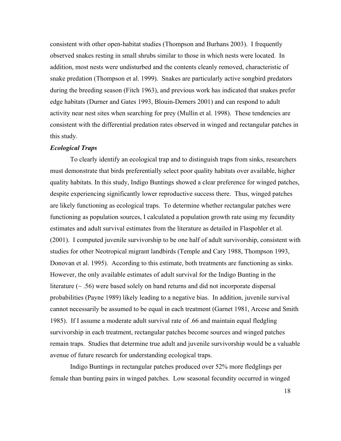consistent with other open-habitat studies (Thompson and Burhans 2003). I frequently observed snakes resting in small shrubs similar to those in which nests were located. In addition, most nests were undisturbed and the contents cleanly removed, characteristic of snake predation (Thompson et al. 1999). Snakes are particularly active songbird predators during the breeding season (Fitch 1963), and previous work has indicated that snakes prefer edge habitats (Durner and Gates 1993, Blouin-Demers 2001) and can respond to adult activity near nest sites when searching for prey (Mullin et al. 1998). These tendencies are consistent with the differential predation rates observed in winged and rectangular patches in this study.

### *Ecological Traps*

To clearly identify an ecological trap and to distinguish traps from sinks, researchers must demonstrate that birds preferentially select poor quality habitats over available, higher quality habitats. In this study, Indigo Buntings showed a clear preference for winged patches, despite experiencing significantly lower reproductive success there. Thus, winged patches are likely functioning as ecological traps. To determine whether rectangular patches were functioning as population sources, I calculated a population growth rate using my fecundity estimates and adult survival estimates from the literature as detailed in Flaspohler et al. (2001). I computed juvenile survivorship to be one half of adult survivorship, consistent with studies for other Neotropical migrant landbirds (Temple and Cary 1988, Thompson 1993, Donovan et al. 1995). According to this estimate, both treatments are functioning as sinks. However, the only available estimates of adult survival for the Indigo Bunting in the literature  $(\sim .56)$  were based solely on band returns and did not incorporate dispersal probabilities (Payne 1989) likely leading to a negative bias. In addition, juvenile survival cannot necessarily be assumed to be equal in each treatment (Garnet 1981, Arcese and Smith 1985). If I assume a moderate adult survival rate of .66 and maintain equal fledgling survivorship in each treatment, rectangular patches become sources and winged patches remain traps. Studies that determine true adult and juvenile survivorship would be a valuable avenue of future research for understanding ecological traps.

Indigo Buntings in rectangular patches produced over 52% more fledglings per female than bunting pairs in winged patches.Low seasonal fecundity occurred in winged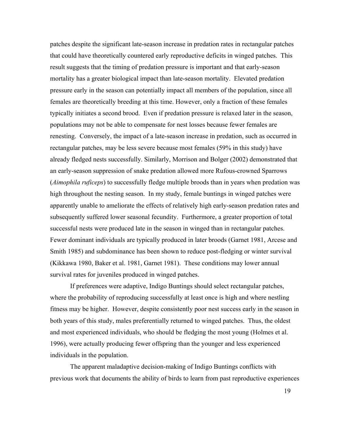patches despite the significant late-season increase in predation rates in rectangular patches that could have theoretically countered early reproductive deficits in winged patches. This result suggests that the timing of predation pressure is important and that early-season mortality has a greater biological impact than late-season mortality. Elevated predation pressure early in the season can potentially impact all members of the population, since all females are theoretically breeding at this time. However, only a fraction of these females typically initiates a second brood. Even if predation pressure is relaxed later in the season, populations may not be able to compensate for nest losses because fewer females are renesting. Conversely, the impact of a late-season increase in predation, such as occurred in rectangular patches, may be less severe because most females (59% in this study) have already fledged nests successfully. Similarly, Morrison and Bolger (2002) demonstrated that an early-season suppression of snake predation allowed more Rufous-crowned Sparrows (*Aimophila ruficeps*) to successfully fledge multiple broods than in years when predation was high throughout the nesting season. In my study, female buntings in winged patches were apparently unable to ameliorate the effects of relatively high early-season predation rates and subsequently suffered lower seasonal fecundity. Furthermore, a greater proportion of total successful nests were produced late in the season in winged than in rectangular patches. Fewer dominant individuals are typically produced in later broods (Garnet 1981, Arcese and Smith 1985) and subdominance has been shown to reduce post-fledging or winter survival (Kikkawa 1980, Baker et al. 1981, Garnet 1981). These conditions may lower annual survival rates for juveniles produced in winged patches.

If preferences were adaptive, Indigo Buntings should select rectangular patches, where the probability of reproducing successfully at least once is high and where nestling fitness may be higher. However, despite consistently poor nest success early in the season in both years of this study, males preferentially returned to winged patches. Thus, the oldest and most experienced individuals, who should be fledging the most young (Holmes et al. 1996), were actually producing fewer offspring than the younger and less experienced individuals in the population.

The apparent maladaptive decision-making of Indigo Buntings conflicts with previous work that documents the ability of birds to learn from past reproductive experiences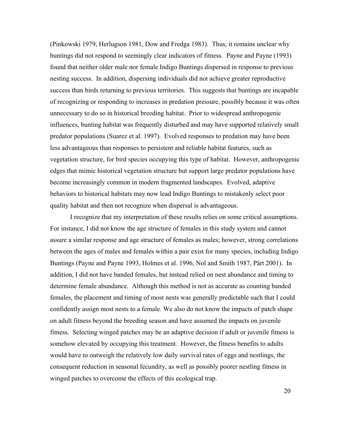(Pinkowski 1979, Herlugson 1981, Dow and Fredga 1983). Thus, it remains unclear why buntings did not respond to seemingly clear indicators of fitness. Payne and Payne (1993) found that neither older male nor female Indigo Buntings dispersed in response to previous nesting success. In addition, dispersing individuals did not achieve greater reproductive success than birds returning to previous territories. This suggests that buntings are incapable of recognizing or responding to increases in predation pressure, possibly because it was often unnecessary to do so in historical breeding habitat. Prior to widespread anthropogenic influences, bunting habitat was frequently disturbed and may have supported relatively small predator populations (Suarez et al. 1997). Evolved responses to predation may have been less advantageous than responses to persistent and reliable habitat features, such as vegetation structure, for bird species occupying this type of habitat. However, anthropogenic edges that mimic historical vegetation structure but support large predator populations have become increasingly common in modern fragmented landscapes. Evolved, adaptive behaviors to historical habitats may now lead Indigo Buntings to mistakenly select poor quality habitat and then not recognize when dispersal is advantageous.

I recognize that my interpretation of these results relies on some critical assumptions. For instance, I did not know the age structure of females in this study system and cannot assure a similar response and age structure of females as males; however, strong correlations between the ages of males and females within a pair exist for many species, including Indigo Buntings (Payne and Payne 1993, Holmes et al. 1996, Nol and Smith 1987, Pärt 2001). In addition, I did not have banded females, but instead relied on nest abundance and timing to determine female abundance. Although this method is not as accurate as counting banded females, the placement and timing of most nests was generally predictable such that I could confidently assign most nests to a female. We also do not know the impacts of patch shape on adult fitness beyond the breeding season and have assumed the impacts on juvenile fitness. Selecting winged patches may be an adaptive decision if adult or juvenile fitness is somehow elevated by occupying this treatment. However, the fitness benefits to adults would have to outweigh the relatively low daily survival rates of eggs and nestlings, the consequent reduction in seasonal fecundity, as well as possibly poorer nestling fitness in winged patches to overcome the effects of this ecological trap.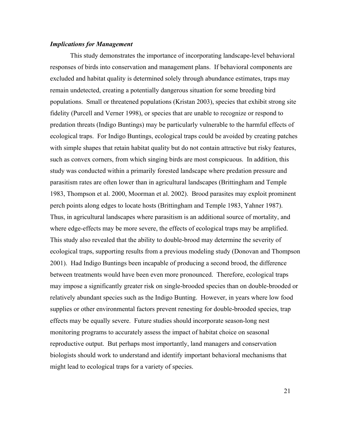## *Implications for Management*

This study demonstrates the importance of incorporating landscape-level behavioral responses of birds into conservation and management plans. If behavioral components are excluded and habitat quality is determined solely through abundance estimates, traps may remain undetected, creating a potentially dangerous situation for some breeding bird populations. Small or threatened populations (Kristan 2003), species that exhibit strong site fidelity (Purcell and Verner 1998), or species that are unable to recognize or respond to predation threats (Indigo Buntings) may be particularly vulnerable to the harmful effects of ecological traps. For Indigo Buntings, ecological traps could be avoided by creating patches with simple shapes that retain habitat quality but do not contain attractive but risky features, such as convex corners, from which singing birds are most conspicuous. In addition, this study was conducted within a primarily forested landscape where predation pressure and parasitism rates are often lower than in agricultural landscapes (Brittingham and Temple 1983, Thompson et al. 2000, Moorman et al. 2002). Brood parasites may exploit prominent perch points along edges to locate hosts (Brittingham and Temple 1983, Yahner 1987). Thus, in agricultural landscapes where parasitism is an additional source of mortality, and where edge-effects may be more severe, the effects of ecological traps may be amplified. This study also revealed that the ability to double-brood may determine the severity of ecological traps, supporting results from a previous modeling study (Donovan and Thompson 2001). Had Indigo Buntings been incapable of producing a second brood, the difference between treatments would have been even more pronounced. Therefore, ecological traps may impose a significantly greater risk on single-brooded species than on double-brooded or relatively abundant species such as the Indigo Bunting. However, in years where low food supplies or other environmental factors prevent renesting for double-brooded species, trap effects may be equally severe. Future studies should incorporate season-long nest monitoring programs to accurately assess the impact of habitat choice on seasonal reproductive output. But perhaps most importantly, land managers and conservation biologists should work to understand and identify important behavioral mechanisms that might lead to ecological traps for a variety of species.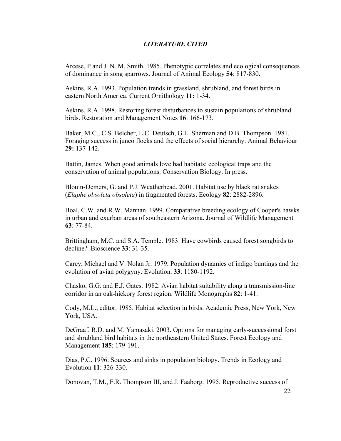## *LITERATURE CITED*

Arcese, P and J. N. M. Smith. 1985. Phenotypic correlates and ecological consequences of dominance in song sparrows. Journal of Animal Ecology **54**: 817-830.

Askins, R.A. 1993. Population trends in grassland, shrubland, and forest birds in eastern North America. Current Ornithology **11:** 1-34.

Askins, R.A. 1998. Restoring forest disturbances to sustain populations of shrubland birds. Restoration and Management Notes **16**: 166-173.

Baker, M.C., C.S. Belcher, L.C. Deutsch, G.L. Sherman and D.B. Thompson. 1981. Foraging success in junco flocks and the effects of social hierarchy. Animal Behaviour **29:** 137-142.

Battin, James. When good animals love bad habitats: ecological traps and the conservation of animal populations. Conservation Biology. In press.

Blouin-Demers, G. and P.J. Weatherhead. 2001. Habitat use by black rat snakes (*Elaphe obsoleta obsoleta*) in fragmented forests. Ecology **82**: 2882-2896.

Boal, C.W. and R.W. Mannan. 1999. Comparative breeding ecology of Cooper's hawks in urban and exurban areas of southeastern Arizona. Journal of Wildlife Management **63**: 77-84.

Brittingham, M.C. and S.A. Temple. 1983. Have cowbirds caused forest songbirds to decline? Bioscience **33**: 31-35.

 Carey, Michael and V. Nolan Jr. 1979. Population dynamics of indigo buntings and the evolution of avian polygyny. Evolution. **33**: 1180-1192.

 Chasko, G.G. and E.J. Gates. 1982. Avian habitat suitability along a transmission-line corridor in an oak-hickory forest region. Wildlife Monographs **82**: 1-41.

 Cody, M.L., editor. 1985. Habitat selection in birds. Academic Press, New York, New York, USA.

 DeGraaf, R.D. and M. Yamasaki. 2003. Options for managing early-successional forst and shrubland bird habitats in the northeastern United States. Forest Ecology and Management **185**: 179-191.

 Dias, P.C. 1996. Sources and sinks in population biology. Trends in Ecology and Evolution **11**: 326-330.

Donovan, T.M., F.R. Thompson III, and J. Faaborg. 1995. Reproductive success of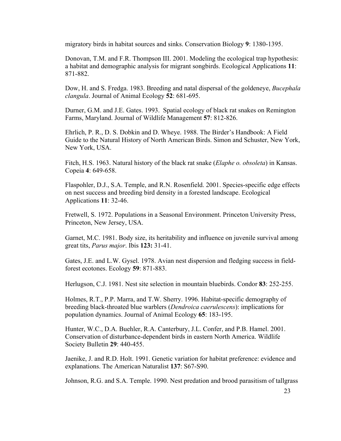migratory birds in habitat sources and sinks. Conservation Biology **9**: 1380-1395.

 Donovan, T.M. and F.R. Thompson III. 2001. Modeling the ecological trap hypothesis: a habitat and demographic analysis for migrant songbirds. Ecological Applications **11**: 871-882.

 Dow, H. and S. Fredga. 1983. Breeding and natal dispersal of the goldeneye, *Bucephala clangula*. Journal of Animal Ecology **52**: 681-695.

 Durner, G.M. and J.E. Gates. 1993. Spatial ecology of black rat snakes on Remington Farms, Maryland. Journal of Wildlife Management **57**: 812-826.

Ehrlich, P. R., D. S. Dobkin and D. Wheye. 1988. The Birder's Handbook: A Field Guide to the Natural History of North American Birds. Simon and Schuster, New York, New York, USA.

Fitch, H.S. 1963. Natural history of the black rat snake (*Elaphe o. obsoleta*) in Kansas. Copeia **4**: 649-658.

 Flaspohler, D.J., S.A. Temple, and R.N. Rosenfield. 2001. Species-specific edge effects on nest success and breeding bird density in a forested landscape. Ecological Applications **11**: 32-46.

Fretwell, S. 1972. Populations in a Seasonal Environment. Princeton University Press, Princeton, New Jersey, USA.

Garnet, M.C. 1981. Body size, its heritability and influence on juvenile survival among great tits, *Parus major*. Ibis **123:** 31-41.

Gates, J.E. and L.W. Gysel. 1978. Avian nest dispersion and fledging success in fieldforest ecotones. Ecology **59**: 871-883.

Herlugson, C.J. 1981. Nest site selection in mountain bluebirds. Condor **83**: 252-255.

 Holmes, R.T., P.P. Marra, and T.W. Sherry. 1996. Habitat-specific demography of breeding black-throated blue warblers (*Dendroica caerulescens*): implications for population dynamics. Journal of Animal Ecology **65**: 183-195.

 Hunter, W.C., D.A. Buehler, R.A. Canterbury, J.L. Confer, and P.B. Hamel. 2001. Conservation of disturbance-dependent birds in eastern North America. Wildlife Society Bulletin **29**: 440-455.

 Jaenike, J. and R.D. Holt. 1991. Genetic variation for habitat preference: evidence and explanations. The American Naturalist **137**: S67-S90.

Johnson, R.G. and S.A. Temple. 1990. Nest predation and brood parasitism of tallgrass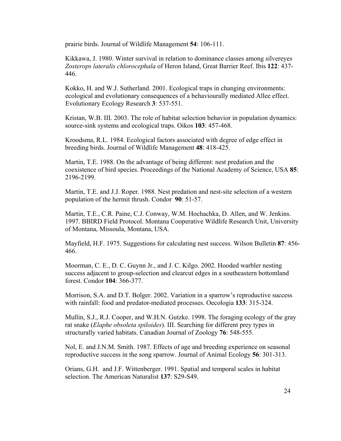prairie birds. Journal of Wildlife Management **54**: 106-111.

 Kikkawa, J. 1980. Winter survival in relation to dominance classes among silvereyes *Zosterops lateralis chlorocephala* of Heron Island, Great Barrier Reef. Ibis **122**: 437- 446.

 Kokko, H. and W.J. Sutherland. 2001. Ecological traps in changing environments: ecological and evolutionary consequences of a behaviourally mediated Allee effect. Evolutionary Ecology Research **3**: 537-551.

 Kristan, W.B. III. 2003. The role of habitat selection behavior in population dynamics: source-sink systems and ecological traps. Oikos **103**: 457-468.

 Kroodsma, R.L. 1984. Ecological factors associated with degree of edge effect in breeding birds. Journal of Wildlife Management **48**: 418-425.

 Martin, T.E. 1988. On the advantage of being different: nest predation and the coexistence of bird species. Proceedings of the National Academy of Science, USA **85**: 2196-2199.

Martin, T.E. and J.J. Roper. 1988. Nest predation and nest-site selection of a western population of the hermit thrush. Condor **90**: 51-57.

 Martin, T.E., C.R. Paine, C.J. Conway, W.M. Hochachka, D. Allen, and W. Jenkins. 1997. BBIRD Field Protocol. Montana Cooperative Wildlife Research Unit, University of Montana, Missoula, Montana, USA.

Mayfield, H.F. 1975. Suggestions for calculating nest success. Wilson Bulletin **87**: 456- 466.

 Moorman, C. E., D. C. Guynn Jr., and J. C. Kilgo. 2002. Hooded warbler nesting success adjacent to group-selection and clearcut edges in a southeastern bottomland forest. Condor **104**: 366-377.

Morrison, S.A. and D.T. Bolger. 2002. Variation in a sparrow's reproductive success with rainfall: food and predator-mediated processes. Oecologia **133**: 315-324.

 Mullin, S.J., R.J. Cooper, and W.H.N. Gutzke. 1998. The foraging ecology of the gray rat snake (*Elaphe obsoleta spiloides*). III. Searching for different prey types in structurally varied habitats. Canadian Journal of Zoology **76**: 548-555.

Nol, E. and J.N.M. Smith. 1987. Effects of age and breeding experience on seasonal reproductive success in the song sparrow. Journal of Animal Ecology **56**: 301-313.

 Orians, G.H. and J.F. Wittenberger. 1991. Spatial and temporal scales in habitat selection. The American Naturalist **137**: S29-S49.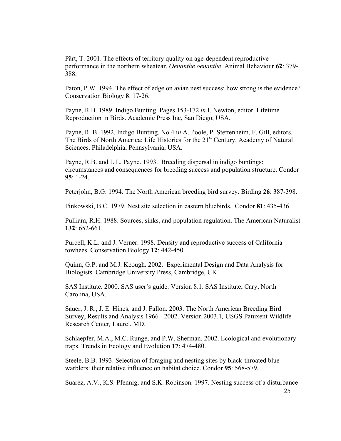Pärt, T. 2001. The effects of territory quality on age-dependent reproductive performance in the northern wheatear, *Oenanthe oenanthe*. Animal Behaviour **62**: 379- 388.

Paton, P.W. 1994. The effect of edge on avian nest success: how strong is the evidence? Conservation Biology **8**: 17-26.

Payne, R.B. 1989. Indigo Bunting. Pages 153-172 *in* I. Newton, editor. Lifetime Reproduction in Birds. Academic Press Inc, San Diego, USA.

 Payne, R. B. 1992. Indigo Bunting. No.4 i*n* A. Poole, P. Stettenheim, F. Gill, editors. The Birds of North America: Life Histories for the 21<sup>st</sup> Century. Academy of Natural Sciences. Philadelphia, Pennsylvania, USA.

Payne, R.B. and L.L. Payne. 1993. Breeding dispersal in indigo buntings: circumstances and consequences for breeding success and population structure. Condor **95**: 1-24.

Peterjohn, B.G. 1994. The North American breeding bird survey. Birding **26**: 387-398.

Pinkowski, B.C. 1979. Nest site selection in eastern bluebirds. Condor **81**: 435-436.

 Pulliam, R.H. 1988. Sources, sinks, and population regulation. The American Naturalist **132**: 652-661.

 Purcell, K.L. and J. Verner. 1998. Density and reproductive success of California towhees. Conservation Biology **12**: 442-450.

 Quinn, G.P. and M.J. Keough. 2002. Experimental Design and Data Analysis for Biologists. Cambridge University Press, Cambridge, UK.

 SAS Institute. 2000. SAS user's guide. Version 8.1. SAS Institute, Cary, North Carolina, USA.

 Sauer, J. R., J. E. Hines, and J. Fallon. 2003. The North American Breeding Bird Survey, Results and Analysis 1966 - 2002. Version 2003.1*,* USGS Patuxent Wildlife Research Center*,* Laurel, MD.

 Schlaepfer, M.A., M.C. Runge, and P.W. Sherman. 2002. Ecological and evolutionary traps. Trends in Ecology and Evolution **17**: 474-480.

 Steele, B.B. 1993. Selection of foraging and nesting sites by black-throated blue warblers: their relative influence on habitat choice. Condor **95**: 568-579.

Suarez, A.V., K.S. Pfennig, and S.K. Robinson. 1997. Nesting success of a disturbance-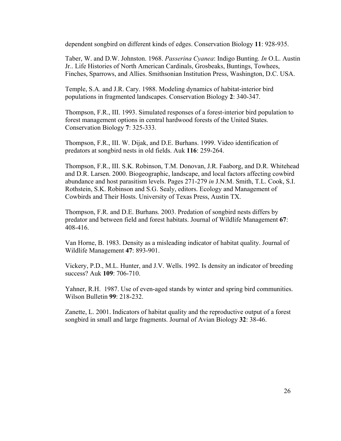dependent songbird on different kinds of edges. Conservation Biology **11**: 928-935.

Taber, W. and D.W. Johnston. 1968. *Passerina Cyanea*: Indigo Bunting. *In* O.L. Austin Jr.. Life Histories of North American Cardinals, Grosbeaks, Buntings, Towhees, Finches, Sparrows, and Allies. Smithsonian Institution Press, Washington, D.C. USA.

Temple, S.A. and J.R. Cary. 1988. Modeling dynamics of habitat-interior bird populations in fragmented landscapes. Conservation Biology **2**: 340-347.

Thompson, F.R., III. 1993. Simulated responses of a forest-interior bird population to forest management options in central hardwood forests of the United States. Conservation Biology **7**: 325-333.

Thompson, F.R., III. W. Dijak, and D.E. Burhans. 1999. Video identification of predators at songbird nests in old fields. Auk **116**: 259-264.

Thompson, F.R., III. S.K. Robinson, T.M. Donovan, J.R. Faaborg, and D.R. Whitehead and D.R. Larsen. 2000. Biogeographic, landscape, and local factors affecting cowbird abundance and host parasitism levels. Pages 271-279 *in* J.N.M. Smith, T.L. Cook, S.I. Rothstein, S.K. Robinson and S.G. Sealy, editors. Ecology and Management of Cowbirds and Their Hosts. University of Texas Press, Austin TX.

Thompson, F.R. and D.E. Burhans. 2003. Predation of songbird nests differs by predator and between field and forest habitats. Journal of Wildlife Management **67**: 408-416.

Van Horne, B. 1983. Density as a misleading indicator of habitat quality. Journal of Wildlife Management **47**: 893-901.

Vickery, P.D., M.L. Hunter, and J.V. Wells. 1992. Is density an indicator of breeding success? Auk **109**: 706-710.

Yahner, R.H. 1987. Use of even-aged stands by winter and spring bird communities. Wilson Bulletin **99**: 218-232.

Zanette, L. 2001. Indicators of habitat quality and the reproductive output of a forest songbird in small and large fragments. Journal of Avian Biology **32**: 38-46.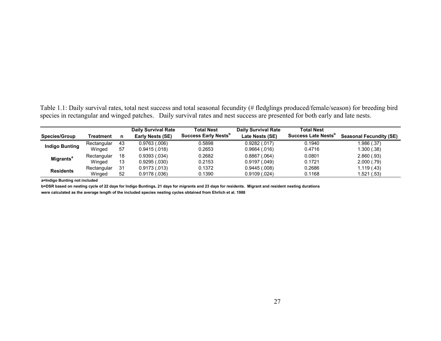Table 1.1: Daily survival rates, total nest success and total seasonal fecundity (# fledglings produced/female/season) for breeding bird species in rectangular and winged patches. Daily survival rates and nest success are presented for both early and late nests.

|                             |             |    | <b>Daily Survival Rate</b> | <b>Total Nest</b>                       | <b>Daily Survival Rate</b> | <b>Total Nest</b>               |                                |
|-----------------------------|-------------|----|----------------------------|-----------------------------------------|----------------------------|---------------------------------|--------------------------------|
| <b>Species/Group</b>        | Treatment   |    | <b>Early Nests (SE)</b>    | <b>Success Early Nests</b> <sup>p</sup> | Late Nests (SE)            | Success Late Nests <sup>p</sup> | <b>Seasonal Fecundity (SE)</b> |
| <b>Indigo Bunting</b>       | Rectangular | 43 | 0.9763(0.006)              | 0.5898                                  | 0.9282(.017)               | 0.1940                          | 1.986 (.37)                    |
|                             | Winged      | 57 | 0.9415(.018)               | 0.2653                                  | 0.9664(.016)               | 0.4716                          | 1.300 (.38)                    |
|                             | Rectangular | 18 | 0.9393(.034)               | 0.2682                                  | 0.8867(.064)               | 0.0801                          | 2.860(.93)                     |
| <b>Migrants<sup>a</sup></b> | Winged      | 13 | 0.9295(.030)               | 0.2153                                  | 0.9197(.049)               | 0.1721                          | 2.000(.79)                     |
| <b>Residents</b>            | Rectangular | 31 | 0.9173(.013)               | 0.1372                                  | 0.9445(.008)               | 0.2686                          | 1.119 (.43)                    |
|                             | Winged      | 52 | 0.9178(.036)               | 0.1390                                  | 0.9109(.024)               | 0.1168                          | 1.521 (.53)                    |

**a=Indigo Bunting not included**

**b=DSR based on nesting cycle of 22 days for Indigo Buntings, 21 days for migrants and 23 days for residents. Migrant and resident nesting durations were calculated as the average length of the included species nesting cycles obtained from Ehrlich et al. 1988**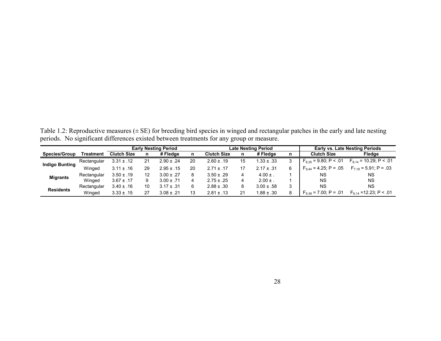|                       |             | <b>Early Nesting Period</b> |    |                |    |                    | <b>Late Nesting Period</b> |                |   |                            | <b>Early vs. Late Nesting Periods</b> |  |  |
|-----------------------|-------------|-----------------------------|----|----------------|----|--------------------|----------------------------|----------------|---|----------------------------|---------------------------------------|--|--|
| <b>Species/Group</b>  | Treatment   | <b>Clutch Size</b>          | n  | # Fledae       | n  | <b>Clutch Size</b> | n                          | # Fledae       | n | <b>Clutch Size</b>         | Fledge                                |  |  |
|                       | Rectangular | $3.31 \pm .12$              | 21 | $2.90 \pm .24$ | 20 | $2.60 \pm .19$     | 15                         | $.33 \pm .33$  | 3 | $F_{8,35}$ = 9.80; P < .01 | $F_{8,14}$ = 10.29; P < .01           |  |  |
| <b>Indigo Bunting</b> | Winged      | $3.11 \pm .16$              | 29 | $2.95 \pm .15$ | 20 | $2.71 \pm .17$     | 17                         | $2.17 \pm .31$ | 6 | $F_{9,44}$ = 4.25; P = .05 | $F_{7.18}$ = 5.91; P = .03            |  |  |
| <b>Migrants</b>       | Rectangular | $3.50 \pm .19$              | 12 | $3.00 \pm .27$ | 8  | $3.50 \pm .29$     | 4                          | $4.00 \pm 1$   |   | ΝS                         | <b>NS</b>                             |  |  |
|                       | Winged      | $3.67 \pm .17$              | 9  | $3.00 \pm .71$ | 4  | $2.75 \pm .25$     | 4                          | $2.00 \pm .$   |   | ΝS                         | ΝS                                    |  |  |
|                       | Rectangular | $3.40 \pm .16$              | 10 | $3.17 \pm .31$ | 6. | $2.88 \pm .30$     | 8                          | $3.00 \pm .58$ | 3 | ΝS                         | <b>NS</b>                             |  |  |
| <b>Residents</b>      | Winged      | $3.33 \pm .15$              | 27 | $3.08 \pm .21$ | 13 | $2.81 \pm .13$     | 21                         | $.88 \pm .30$  | 8 | $F_{9,38}$ = 7.00; P = .01 | $F_{6,14}$ = 12.23; P < .01           |  |  |

Table 1.2: Reproductive measures (± SE) for breeding bird species in winged and rectangular patches in the early and late nesting periods. No significant differences existed between treatments for any group or measure.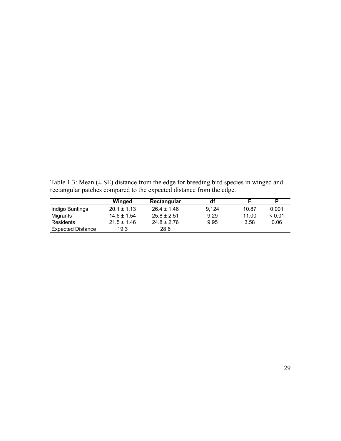Table 1.3: Mean  $(\pm S E)$  distance from the edge for breeding bird species in winged and rectangular patches compared to the expected distance from the edge.

|                          | Winged          | Rectangular     | df    |       | P      |
|--------------------------|-----------------|-----------------|-------|-------|--------|
| Indigo Buntings          | $20.1 \pm 1.13$ | $26.4 \pm 1.46$ | 9.124 | 10.87 | 0.001  |
| Migrants                 | $14.6 \pm 1.54$ | $25.8 \pm 2.51$ | 9.29  | 11.00 | < 0.01 |
| Residents                | $21.5 \pm 1.46$ | $24.8 \pm 2.76$ | 9.95  | 3.58  | 0.06   |
| <b>Expected Distance</b> | 19.3            | 28.6            |       |       |        |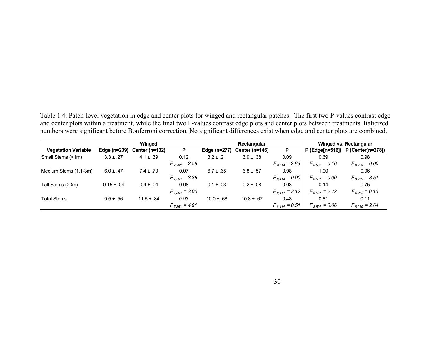Table 1.4: Patch-level vegetation in edge and center plots for winged and rectangular patches. The first two P-values contrast edge and center plots within a treatment, while the final two P-values contrast edge plots and center plots between treatments. Italicized numbers were significant before Bonferroni correction. No significant differences exist when edge and center plots are combined.

|                            | Winged         |                |                    |                | Rectangular    | Winged vs. Rectangular |                    |                                   |
|----------------------------|----------------|----------------|--------------------|----------------|----------------|------------------------|--------------------|-----------------------------------|
| <b>Vegetation Variable</b> | Edge (n=239)   | Center (n=132) |                    | Edge (n=277)   | Center (n=146) |                        |                    | P (Edge[n=516]) P (Center[n=278]) |
| Small Stems (<1m)          | $3.3 \pm .27$  | $4.1 \pm .39$  | 0.12               | $3.2 \pm .21$  | $3.9 \pm .38$  | 0.09                   | 0.69               | 0.98                              |
|                            |                |                | $F_{7,363} = 2.58$ |                |                | $F_{8,414} = 2.83$     | $F_{8.507} = 0.16$ | $F_{8,269} = 0.00$                |
| Medium Stems (1.1-3m)      | $6.0 \pm .47$  | $7.4 \pm .70$  | 0.07               | $6.7 \pm .65$  | $6.8 \pm .57$  | 0.98                   | 1.00               | 0.06                              |
|                            |                |                | $F_{7,363} = 3.36$ |                |                | $F_{8,414} = 0.00$     | $F_{8,507} = 0.00$ | $F_{8,269} = 3.51$                |
| Tall Stems (>3m)           | $0.15 \pm .04$ | $.04 \pm .04$  | 0.08               | $0.1 \pm .03$  | $0.2 \pm .08$  | 0.08                   | 0.14               | 0.75                              |
|                            |                |                | $F_{7,363} = 3.00$ |                |                | $F_{8,414} = 3.12$     | $F_{8,507}$ = 2.22 | $F_{8,269} = 0.10$                |
| <b>Total Stems</b>         | $9.5 \pm .56$  | $11.5 \pm .84$ | 0.03               | $10.0 \pm .68$ | $10.8 \pm .67$ | 0.48                   | 0.81               | 0.11                              |
|                            |                |                | $F_{7,363} = 4.91$ |                |                | $F_{8,414} = 0.51$     | $F_{8,507} = 0.06$ | $F_{8,269} = 2.64$                |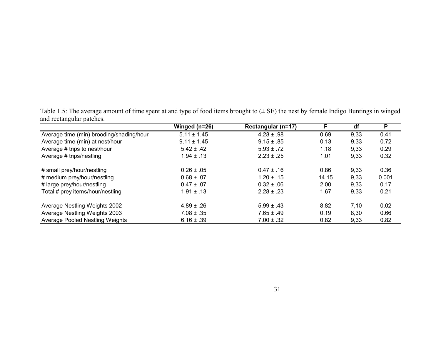Table 1.5: The average amount of time spent at and type of food items brought to (± SE) the nest by female Indigo Buntings in winged and rectangular patches.

|                                          | Winged (n=26)   | Rectangular (n=17) |       | df   | P     |
|------------------------------------------|-----------------|--------------------|-------|------|-------|
| Average time (min) brooding/shading/hour | $5.11 \pm 1.45$ | $4.28 \pm .98$     | 0.69  | 9,33 | 0.41  |
| Average time (min) at nest/hour          | $9.11 \pm 1.45$ | $9.15 \pm .85$     | 0.13  | 9,33 | 0.72  |
| Average # trips to nest/hour             | $5.42 \pm .42$  | $5.93 \pm .72$     | 1.18  | 9,33 | 0.29  |
| Average # trips/nestling                 | $1.94 \pm .13$  | $2.23 \pm .25$     | 1.01  | 9,33 | 0.32  |
| # small prey/hour/nestling               | $0.26 \pm .05$  | $0.47 \pm .16$     | 0.86  | 9,33 | 0.36  |
| # medium prey/hour/nestling              | $0.68 \pm .07$  | $1.20 \pm .15$     | 14.15 | 9,33 | 0.001 |
| # large prey/hour/nestling               | $0.47 \pm .07$  | $0.32 \pm .06$     | 2.00  | 9,33 | 0.17  |
| Total # prey items/hour/nestling         | $1.91 \pm .13$  | $2.28 \pm .23$     | 1.67  | 9,33 | 0.21  |
| Average Nestling Weights 2002            | $4.89 \pm .26$  | $5.99 \pm .43$     | 8.82  | 7,10 | 0.02  |
| Average Nestling Weights 2003            | $7.08 \pm .35$  | $7.65 \pm .49$     | 0.19  | 8,30 | 0.66  |
| <b>Average Pooled Nestling Weights</b>   | $6.16 \pm .39$  | $7.00 \pm .32$     | 0.82  | 9,33 | 0.82  |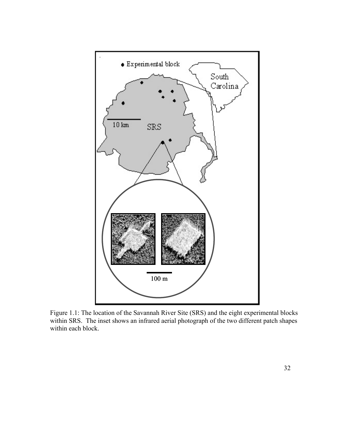

Figure 1.1: The location of the Savannah River Site (SRS) and the eight experimental blocks within SRS. The inset shows an infrared aerial photograph of the two different patch shapes within each block.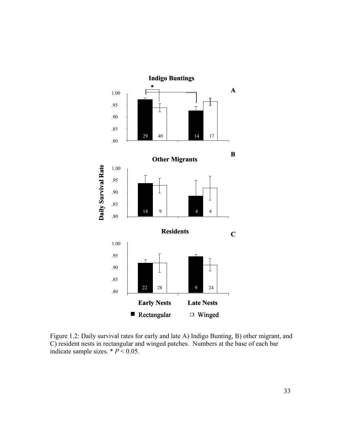

Figure 1.2: Daily survival rates for early and late A) Indigo Bunting, B) other migrant, and C) resident nests in rectangular and winged patches. Numbers at the base of each bar indicate sample sizes.  $* P < 0.05$ .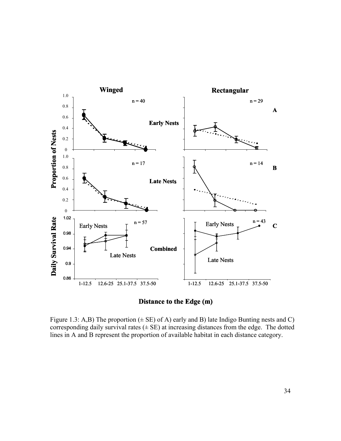



Figure 1.3: A,B) The proportion  $(\pm \text{ SE})$  of A) early and B) late Indigo Bunting nests and C) corresponding daily survival rates  $(\pm \text{ SE})$  at increasing distances from the edge. The dotted lines in A and B represent the proportion of available habitat in each distance category.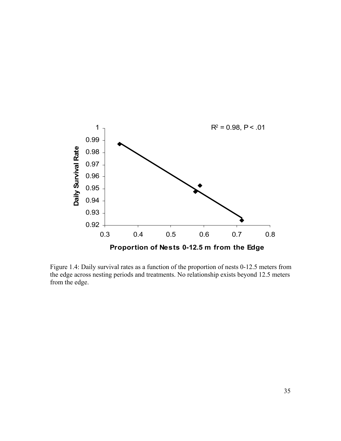

Figure 1.4: Daily survival rates as a function of the proportion of nests 0-12.5 meters from the edge across nesting periods and treatments. No relationship exists beyond 12.5 meters from the edge.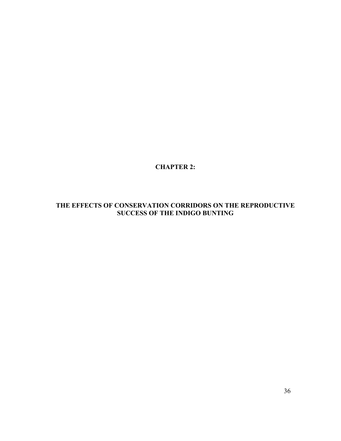**CHAPTER 2:** 

# **THE EFFECTS OF CONSERVATION CORRIDORS ON THE REPRODUCTIVE SUCCESS OF THE INDIGO BUNTING**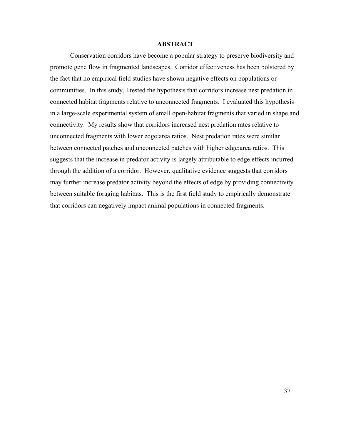#### **ABSTRACT**

Conservation corridors have become a popular strategy to preserve biodiversity and promote gene flow in fragmented landscapes. Corridor effectiveness has been bolstered by the fact that no empirical field studies have shown negative effects on populations or communities. In this study, I tested the hypothesis that corridors increase nest predation in connected habitat fragments relative to unconnected fragments. I evaluated this hypothesis in a large-scale experimental system of small open-habitat fragments that varied in shape and connectivity. My results show that corridors increased nest predation rates relative to unconnected fragments with lower edge:area ratios. Nest predation rates were similar between connected patches and unconnected patches with higher edge:area ratios. This suggests that the increase in predator activity is largely attributable to edge effects incurred through the addition of a corridor. However, qualitative evidence suggests that corridors may further increase predator activity beyond the effects of edge by providing connectivity between suitable foraging habitats. This is the first field study to empirically demonstrate that corridors can negatively impact animal populations in connected fragments.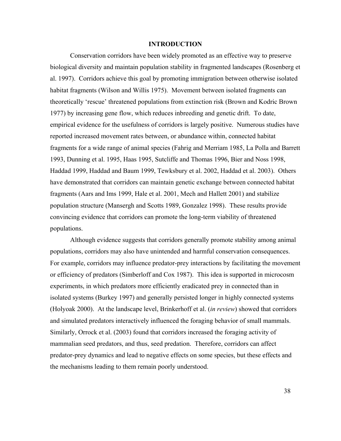#### **INTRODUCTION**

Conservation corridors have been widely promoted as an effective way to preserve biological diversity and maintain population stability in fragmented landscapes (Rosenberg et al. 1997). Corridors achieve this goal by promoting immigration between otherwise isolated habitat fragments (Wilson and Willis 1975). Movement between isolated fragments can theoretically 'rescue' threatened populations from extinction risk (Brown and Kodric Brown 1977) by increasing gene flow, which reduces inbreeding and genetic drift. To date, empirical evidence for the usefulness of corridors is largely positive. Numerous studies have reported increased movement rates between, or abundance within, connected habitat fragments for a wide range of animal species (Fahrig and Merriam 1985, La Polla and Barrett 1993, Dunning et al. 1995, Haas 1995, Sutcliffe and Thomas 1996, Bier and Noss 1998, Haddad 1999, Haddad and Baum 1999, Tewksbury et al. 2002, Haddad et al. 2003). Others have demonstrated that corridors can maintain genetic exchange between connected habitat fragments (Aars and Ims 1999, Hale et al. 2001, Mech and Hallett 2001) and stabilize population structure (Mansergh and Scotts 1989, Gonzalez 1998). These results provide convincing evidence that corridors can promote the long-term viability of threatened populations.

Although evidence suggests that corridors generally promote stability among animal populations, corridors may also have unintended and harmful conservation consequences. For example, corridors may influence predator-prey interactions by facilitating the movement or efficiency of predators (Simberloff and Cox 1987). This idea is supported in microcosm experiments, in which predators more efficiently eradicated prey in connected than in isolated systems (Burkey 1997) and generally persisted longer in highly connected systems (Holyoak 2000). At the landscape level, Brinkerhoff et al. (*in review*) showed that corridors and simulated predators interactively influenced the foraging behavior of small mammals. Similarly, Orrock et al. (2003) found that corridors increased the foraging activity of mammalian seed predators, and thus, seed predation. Therefore, corridors can affect predator-prey dynamics and lead to negative effects on some species, but these effects and the mechanisms leading to them remain poorly understood.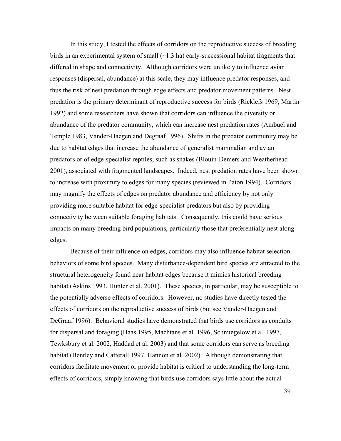In this study, I tested the effects of corridors on the reproductive success of breeding birds in an experimental system of small  $(\sim 1.3 \text{ ha})$  early-successional habitat fragments that differed in shape and connectivity. Although corridors were unlikely to influence avian responses (dispersal, abundance) at this scale, they may influence predator responses, and thus the risk of nest predation through edge effects and predator movement patterns. Nest predation is the primary determinant of reproductive success for birds (Ricklefs 1969, Martin 1992) and some researchers have shown that corridors can influence the diversity or abundance of the predator community, which can increase nest predation rates (Ambuel and Temple 1983, Vander-Haegen and Degraaf 1996). Shifts in the predator community may be due to habitat edges that increase the abundance of generalist mammalian and avian predators or of edge-specialist reptiles, such as snakes (Blouin-Demers and Weatherhead 2001), associated with fragmented landscapes. Indeed, nest predation rates have been shown to increase with proximity to edges for many species (reviewed in Paton 1994). Corridors may magnify the effects of edges on predator abundance and efficiency by not only providing more suitable habitat for edge-specialist predators but also by providing connectivity between suitable foraging habitats. Consequently, this could have serious impacts on many breeding bird populations, particularly those that preferentially nest along edges.

Because of their influence on edges, corridors may also influence habitat selection behaviors of some bird species. Many disturbance-dependent bird species are attracted to the structural heterogeneity found near habitat edges because it mimics historical breeding habitat (Askins 1993, Hunter et al. 2001). These species, in particular, may be susceptible to the potentially adverse effects of corridors. However, no studies have directly tested the effects of corridors on the reproductive success of birds (but see Vander-Haegen and DeGraaf 1996). Behavioral studies have demonstrated that birds use corridors as conduits for dispersal and foraging (Haas 1995, Machtans et al. 1996, Schmiegelow et al. 1997, Tewksbury et al. 2002, Haddad et al. 2003) and that some corridors can serve as breeding habitat (Bentley and Catterall 1997, Hannon et al. 2002). Although demonstrating that corridors facilitate movement or provide habitat is critical to understanding the long-term effects of corridors, simply knowing that birds use corridors says little about the actual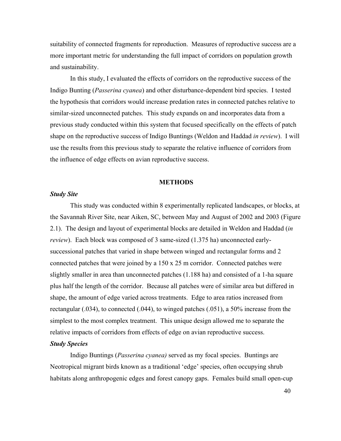suitability of connected fragments for reproduction. Measures of reproductive success are a more important metric for understanding the full impact of corridors on population growth and sustainability.

In this study, I evaluated the effects of corridors on the reproductive success of the Indigo Bunting (*Passerina cyanea*) and other disturbance-dependent bird species. I tested the hypothesis that corridors would increase predation rates in connected patches relative to similar-sized unconnected patches. This study expands on and incorporates data from a previous study conducted within this system that focused specifically on the effects of patch shape on the reproductive success of Indigo Buntings (Weldon and Haddad *in review*). I will use the results from this previous study to separate the relative influence of corridors from the influence of edge effects on avian reproductive success.

#### **METHODS**

## *Study Site*

This study was conducted within 8 experimentally replicated landscapes, or blocks, at the Savannah River Site, near Aiken, SC, between May and August of 2002 and 2003 (Figure 2.1). The design and layout of experimental blocks are detailed in Weldon and Haddad (*in review*). Each block was composed of 3 same-sized (1.375 ha) unconnected earlysuccessional patches that varied in shape between winged and rectangular forms and 2 connected patches that were joined by a 150 x 25 m corridor. Connected patches were slightly smaller in area than unconnected patches (1.188 ha) and consisted of a 1-ha square plus half the length of the corridor. Because all patches were of similar area but differed in shape, the amount of edge varied across treatments. Edge to area ratios increased from rectangular (.034), to connected (.044), to winged patches (.051), a 50% increase from the simplest to the most complex treatment. This unique design allowed me to separate the relative impacts of corridors from effects of edge on avian reproductive success.

## *Study Species*

Indigo Buntings (*Passerina cyanea)* served as my focal species. Buntings are Neotropical migrant birds known as a traditional 'edge' species, often occupying shrub habitats along anthropogenic edges and forest canopy gaps. Females build small open-cup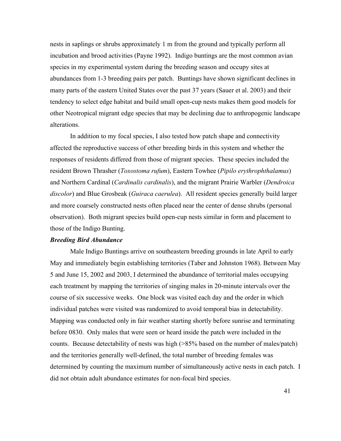nests in saplings or shrubs approximately 1 m from the ground and typically perform all incubation and brood activities (Payne 1992). Indigo buntings are the most common avian species in my experimental system during the breeding season and occupy sites at abundances from 1-3 breeding pairs per patch. Buntings have shown significant declines in many parts of the eastern United States over the past 37 years (Sauer et al. 2003) and their tendency to select edge habitat and build small open-cup nests makes them good models for other Neotropical migrant edge species that may be declining due to anthropogenic landscape alterations.

In addition to my focal species, I also tested how patch shape and connectivity affected the reproductive success of other breeding birds in this system and whether the responses of residents differed from those of migrant species. These species included the resident Brown Thrasher (*Toxostoma rufum*), Eastern Towhee (*Pipilo erythrophthalamus*) and Northern Cardinal (*Cardinalis cardinalis*), and the migrant Prairie Warbler (*Dendroica discolor*) and Blue Grosbeak (*Guiraca caerulea*). All resident species generally build larger and more coarsely constructed nests often placed near the center of dense shrubs (personal observation). Both migrant species build open-cup nests similar in form and placement to those of the Indigo Bunting.

## *Breeding Bird Abundance*

Male Indigo Buntings arrive on southeastern breeding grounds in late April to early May and immediately begin establishing territories (Taber and Johnston 1968). Between May 5 and June 15, 2002 and 2003, I determined the abundance of territorial males occupying each treatment by mapping the territories of singing males in 20-minute intervals over the course of six successive weeks. One block was visited each day and the order in which individual patches were visited was randomized to avoid temporal bias in detectability. Mapping was conducted only in fair weather starting shortly before sunrise and terminating before 0830. Only males that were seen or heard inside the patch were included in the counts. Because detectability of nests was high (>85% based on the number of males/patch) and the territories generally well-defined, the total number of breeding females was determined by counting the maximum number of simultaneously active nests in each patch. I did not obtain adult abundance estimates for non-focal bird species.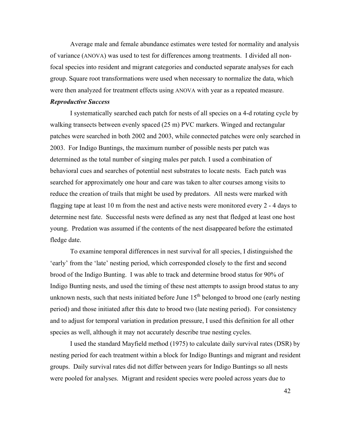Average male and female abundance estimates were tested for normality and analysis of variance (ANOVA) was used to test for differences among treatments. I divided all nonfocal species into resident and migrant categories and conducted separate analyses for each group. Square root transformations were used when necessary to normalize the data, which were then analyzed for treatment effects using ANOVA with year as a repeated measure.

## *Reproductive Success*

I systematically searched each patch for nests of all species on a 4-d rotating cycle by walking transects between evenly spaced (25 m) PVC markers. Winged and rectangular patches were searched in both 2002 and 2003, while connected patches were only searched in 2003. For Indigo Buntings, the maximum number of possible nests per patch was determined as the total number of singing males per patch. I used a combination of behavioral cues and searches of potential nest substrates to locate nests. Each patch was searched for approximately one hour and care was taken to alter courses among visits to reduce the creation of trails that might be used by predators. All nests were marked with flagging tape at least 10 m from the nest and active nests were monitored every 2 - 4 days to determine nest fate. Successful nests were defined as any nest that fledged at least one host young. Predation was assumed if the contents of the nest disappeared before the estimated fledge date.

To examine temporal differences in nest survival for all species, I distinguished the 'early' from the 'late' nesting period, which corresponded closely to the first and second brood of the Indigo Bunting. I was able to track and determine brood status for 90% of Indigo Bunting nests, and used the timing of these nest attempts to assign brood status to any unknown nests, such that nests initiated before June  $15<sup>th</sup>$  belonged to brood one (early nesting period) and those initiated after this date to brood two (late nesting period). For consistency and to adjust for temporal variation in predation pressure, I used this definition for all other species as well, although it may not accurately describe true nesting cycles.

I used the standard Mayfield method (1975) to calculate daily survival rates (DSR) by nesting period for each treatment within a block for Indigo Buntings and migrant and resident groups. Daily survival rates did not differ between years for Indigo Buntings so all nests were pooled for analyses. Migrant and resident species were pooled across years due to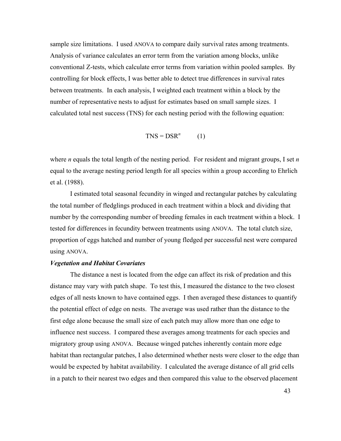sample size limitations. I used ANOVA to compare daily survival rates among treatments. Analysis of variance calculates an error term from the variation among blocks, unlike conventional Z-tests, which calculate error terms from variation within pooled samples. By controlling for block effects, I was better able to detect true differences in survival rates between treatments. In each analysis, I weighted each treatment within a block by the number of representative nests to adjust for estimates based on small sample sizes. I calculated total nest success (TNS) for each nesting period with the following equation:

$$
TNS = DSR^n \qquad (1)
$$

where *n* equals the total length of the nesting period. For resident and migrant groups, I set *n* equal to the average nesting period length for all species within a group according to Ehrlich et al. (1988).

I estimated total seasonal fecundity in winged and rectangular patches by calculating the total number of fledglings produced in each treatment within a block and dividing that number by the corresponding number of breeding females in each treatment within a block. I tested for differences in fecundity between treatments using ANOVA. The total clutch size, proportion of eggs hatched and number of young fledged per successful nest were compared using ANOVA.

### *Vegetation and Habitat Covariates*

The distance a nest is located from the edge can affect its risk of predation and this distance may vary with patch shape. To test this, I measured the distance to the two closest edges of all nests known to have contained eggs. I then averaged these distances to quantify the potential effect of edge on nests. The average was used rather than the distance to the first edge alone because the small size of each patch may allow more than one edge to influence nest success. I compared these averages among treatments for each species and migratory group using ANOVA. Because winged patches inherently contain more edge habitat than rectangular patches, I also determined whether nests were closer to the edge than would be expected by habitat availability. I calculated the average distance of all grid cells in a patch to their nearest two edges and then compared this value to the observed placement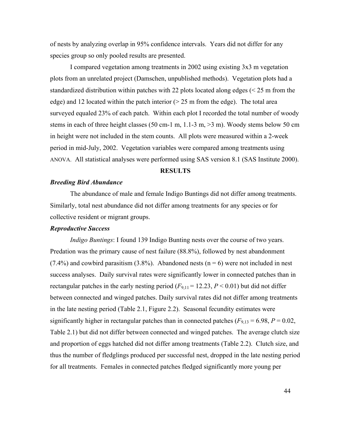of nests by analyzing overlap in 95% confidence intervals. Years did not differ for any species group so only pooled results are presented.

I compared vegetation among treatments in 2002 using existing 3x3 m vegetation plots from an unrelated project (Damschen, unpublished methods). Vegetation plots had a standardized distribution within patches with 22 plots located along edges (< 25 m from the edge) and 12 located within the patch interior  $(25 \text{ m from the edge})$ . The total area surveyed equaled 23% of each patch. Within each plot I recorded the total number of woody stems in each of three height classes (50 cm-1 m, 1.1-3 m, >3 m). Woody stems below 50 cm in height were not included in the stem counts. All plots were measured within a 2-week period in mid-July, 2002. Vegetation variables were compared among treatments using ANOVA. All statistical analyses were performed using SAS version 8.1 (SAS Institute 2000).

#### **RESULTS**

### *Breeding Bird Abundance*

The abundance of male and female Indigo Buntings did not differ among treatments. Similarly, total nest abundance did not differ among treatments for any species or for collective resident or migrant groups.

## *Reproductive Success*

*Indigo Buntings*: I found 139 Indigo Bunting nests over the course of two years. Predation was the primary cause of nest failure (88.8%), followed by nest abandonment  $(7.4\%)$  and cowbird parasitism  $(3.8\%)$ . Abandoned nests  $(n = 6)$  were not included in nest success analyses. Daily survival rates were significantly lower in connected patches than in rectangular patches in the early nesting period  $(F_{9,11} = 12.23, P \le 0.01)$  but did not differ between connected and winged patches. Daily survival rates did not differ among treatments in the late nesting period (Table 2.1, Figure 2.2). Seasonal fecundity estimates were significantly higher in rectangular patches than in connected patches  $(F_{9,13} = 6.98, P = 0.02, F_{9,13} = 6.98, P = 0.02, F_{9,13} = 6.98$ Table 2.1) but did not differ between connected and winged patches. The average clutch size and proportion of eggs hatched did not differ among treatments (Table 2.2). Clutch size, and thus the number of fledglings produced per successful nest, dropped in the late nesting period for all treatments. Females in connected patches fledged significantly more young per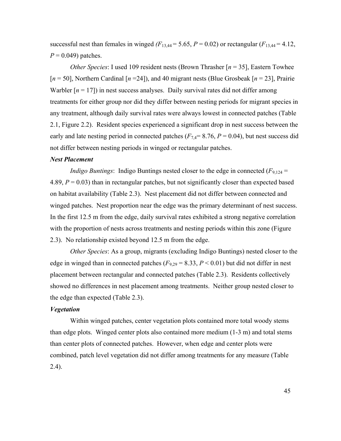successful nest than females in winged  $(F_{13,44} = 5.65, P = 0.02)$  or rectangular  $(F_{13,44} = 4.12,$  $P = 0.049$ ) patches.

*Other Species*: I used 109 resident nests (Brown Thrasher [*n* = 35], Eastern Towhee [*n* = 50], Northern Cardinal [*n* =24]), and 40 migrant nests (Blue Grosbeak [*n* = 23], Prairie Warbler  $[n = 17]$ ) in nest success analyses. Daily survival rates did not differ among treatments for either group nor did they differ between nesting periods for migrant species in any treatment, although daily survival rates were always lowest in connected patches (Table 2.1, Figure 2.2). Resident species experienced a significant drop in nest success between the early and late nesting period in connected patches  $(F<sub>7,4</sub>= 8.76, P = 0.04)$ , but nest success did not differ between nesting periods in winged or rectangular patches.

## *Nest Placement*

*Indigo Buntings*: Indigo Buntings nested closer to the edge in connected  $(F_{9,124} =$ 4.89,  $P = 0.03$ ) than in rectangular patches, but not significantly closer than expected based on habitat availability (Table 2.3). Nest placement did not differ between connected and winged patches. Nest proportion near the edge was the primary determinant of nest success. In the first 12.5 m from the edge, daily survival rates exhibited a strong negative correlation with the proportion of nests across treatments and nesting periods within this zone (Figure) 2.3). No relationship existed beyond 12.5 m from the edge.

*Other Species*: As a group, migrants (excluding Indigo Buntings) nested closer to the edge in winged than in connected patches  $(F_{9,29} = 8.33, P \le 0.01)$  but did not differ in nest placement between rectangular and connected patches (Table 2.3). Residents collectively showed no differences in nest placement among treatments. Neither group nested closer to the edge than expected (Table 2.3).

## *Vegetation*

Within winged patches, center vegetation plots contained more total woody stems than edge plots. Winged center plots also contained more medium (1-3 m) and total stems than center plots of connected patches. However, when edge and center plots were combined, patch level vegetation did not differ among treatments for any measure (Table 2.4).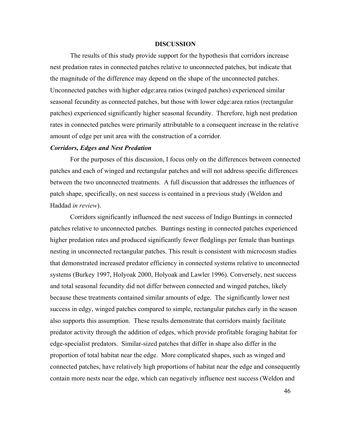#### **DISCUSSION**

The results of this study provide support for the hypothesis that corridors increase nest predation rates in connected patches relative to unconnected patches, but indicate that the magnitude of the difference may depend on the shape of the unconnected patches. Unconnected patches with higher edge:area ratios (winged patches) experienced similar seasonal fecundity as connected patches, but those with lower edge:area ratios (rectangular patches) experienced significantly higher seasonal fecundity. Therefore, high nest predation rates in connected patches were primarily attributable to a consequent increase in the relative amount of edge per unit area with the construction of a corridor.

#### *Corridors, Edges and Nest Predation*

For the purposes of this discussion, I focus only on the differences between connected patches and each of winged and rectangular patches and will not address specific differences between the two unconnected treatments. A full discussion that addresses the influences of patch shape, specifically, on nest success is contained in a previous study (Weldon and Haddad *in review*).

Corridors significantly influenced the nest success of Indigo Buntings in connected patches relative to unconnected patches. Buntings nesting in connected patches experienced higher predation rates and produced significantly fewer fledglings per female than buntings nesting in unconnected rectangular patches. This result is consistent with microcosm studies that demonstrated increased predator efficiency in connected systems relative to unconnected systems (Burkey 1997, Holyoak 2000, Holyoak and Lawler 1996). Conversely, nest success and total seasonal fecundity did not differ between connected and winged patches, likely because these treatments contained similar amounts of edge. The significantly lower nest success in edgy, winged patches compared to simple, rectangular patches early in the season also supports this assumption. These results demonstrate that corridors mainly facilitate predator activity through the addition of edges, which provide profitable foraging habitat for edge-specialist predators. Similar-sized patches that differ in shape also differ in the proportion of total habitat near the edge. More complicated shapes, such as winged and connected patches, have relatively high proportions of habitat near the edge and consequently contain more nests near the edge, which can negatively influence nest success (Weldon and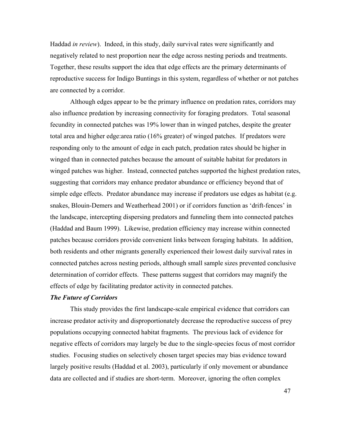Haddad *in review*). Indeed, in this study, daily survival rates were significantly and negatively related to nest proportion near the edge across nesting periods and treatments. Together, these results support the idea that edge effects are the primary determinants of reproductive success for Indigo Buntings in this system, regardless of whether or not patches are connected by a corridor.

Although edges appear to be the primary influence on predation rates, corridors may also influence predation by increasing connectivity for foraging predators. Total seasonal fecundity in connected patches was 19% lower than in winged patches, despite the greater total area and higher edge:area ratio (16% greater) of winged patches. If predators were responding only to the amount of edge in each patch, predation rates should be higher in winged than in connected patches because the amount of suitable habitat for predators in winged patches was higher. Instead, connected patches supported the highest predation rates, suggesting that corridors may enhance predator abundance or efficiency beyond that of simple edge effects. Predator abundance may increase if predators use edges as habitat (e.g. snakes, Blouin-Demers and Weatherhead 2001) or if corridors function as 'drift-fences' in the landscape, intercepting dispersing predators and funneling them into connected patches (Haddad and Baum 1999). Likewise, predation efficiency may increase within connected patches because corridors provide convenient links between foraging habitats. In addition, both residents and other migrants generally experienced their lowest daily survival rates in connected patches across nesting periods, although small sample sizes prevented conclusive determination of corridor effects. These patterns suggest that corridors may magnify the effects of edge by facilitating predator activity in connected patches.

## *The Future of Corridors*

This study provides the first landscape-scale empirical evidence that corridors can increase predator activity and disproportionately decrease the reproductive success of prey populations occupying connected habitat fragments. The previous lack of evidence for negative effects of corridors may largely be due to the single-species focus of most corridor studies. Focusing studies on selectively chosen target species may bias evidence toward largely positive results (Haddad et al. 2003), particularly if only movement or abundance data are collected and if studies are short-term. Moreover, ignoring the often complex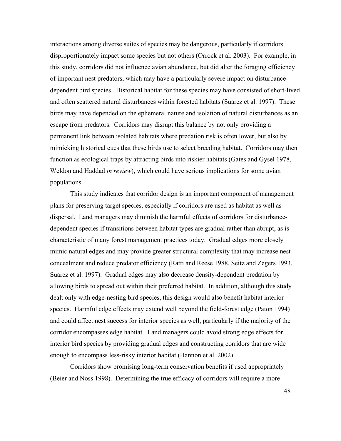interactions among diverse suites of species may be dangerous, particularly if corridors disproportionately impact some species but not others (Orrock et al. 2003). For example, in this study, corridors did not influence avian abundance, but did alter the foraging efficiency of important nest predators, which may have a particularly severe impact on disturbancedependent bird species. Historical habitat for these species may have consisted of short-lived and often scattered natural disturbances within forested habitats (Suarez et al. 1997). These birds may have depended on the ephemeral nature and isolation of natural disturbances as an escape from predators. Corridors may disrupt this balance by not only providing a permanent link between isolated habitats where predation risk is often lower, but also by mimicking historical cues that these birds use to select breeding habitat. Corridors may then function as ecological traps by attracting birds into riskier habitats (Gates and Gysel 1978, Weldon and Haddad *in review*), which could have serious implications for some avian populations.

This study indicates that corridor design is an important component of management plans for preserving target species, especially if corridors are used as habitat as well as dispersal. Land managers may diminish the harmful effects of corridors for disturbancedependent species if transitions between habitat types are gradual rather than abrupt, as is characteristic of many forest management practices today. Gradual edges more closely mimic natural edges and may provide greater structural complexity that may increase nest concealment and reduce predator efficiency (Ratti and Reese 1988, Seitz and Zegers 1993, Suarez et al. 1997). Gradual edges may also decrease density-dependent predation by allowing birds to spread out within their preferred habitat. In addition, although this study dealt only with edge-nesting bird species, this design would also benefit habitat interior species. Harmful edge effects may extend well beyond the field-forest edge (Paton 1994) and could affect nest success for interior species as well, particularly if the majority of the corridor encompasses edge habitat. Land managers could avoid strong edge effects for interior bird species by providing gradual edges and constructing corridors that are wide enough to encompass less-risky interior habitat (Hannon et al. 2002).

Corridors show promising long-term conservation benefits if used appropriately (Beier and Noss 1998). Determining the true efficacy of corridors will require a more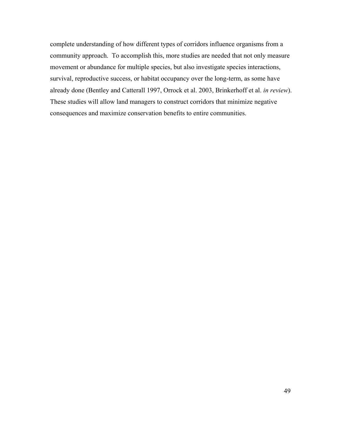complete understanding of how different types of corridors influence organisms from a community approach. To accomplish this, more studies are needed that not only measure movement or abundance for multiple species, but also investigate species interactions, survival, reproductive success, or habitat occupancy over the long-term, as some have already done (Bentley and Catterall 1997, Orrock et al. 2003, Brinkerhoff et al. *in review*). These studies will allow land managers to construct corridors that minimize negative consequences and maximize conservation benefits to entire communities.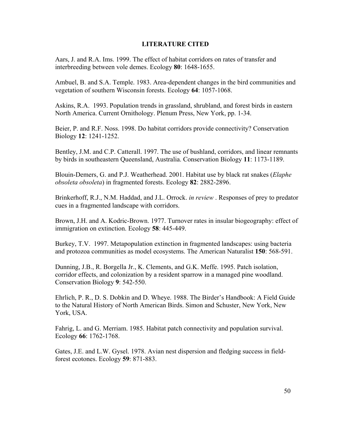## **LITERATURE CITED**

Aars, J. and R.A. Ims. 1999. The effect of habitat corridors on rates of transfer and interbreeding between vole demes. Ecology **80**: 1648-1655.

Ambuel, B. and S.A. Temple. 1983. Area-dependent changes in the bird communities and vegetation of southern Wisconsin forests. Ecology **64**: 1057-1068.

Askins, R.A. 1993. Population trends in grassland, shrubland, and forest birds in eastern North America. Current Ornithology. Plenum Press, New York, pp. 1-34.

Beier, P. and R.F. Noss. 1998. Do habitat corridors provide connectivity? Conservation Biology **12**: 1241-1252.

Bentley, J.M. and C.P. Catterall. 1997. The use of bushland, corridors, and linear remnants by birds in southeastern Queensland, Australia. Conservation Biology **11**: 1173-1189.

Blouin-Demers, G. and P.J. Weatherhead. 2001. Habitat use by black rat snakes (*Elaphe obsoleta obsoleta*) in fragmented forests. Ecology **82**: 2882-2896.

Brinkerhoff, R.J., N.M. Haddad, and J.L. Orrock. *in review* . Responses of prey to predator cues in a fragmented landscape with corridors.

Brown, J.H. and A. Kodric-Brown. 1977. Turnover rates in insular biogeography: effect of immigration on extinction. Ecology **58**: 445-449.

Burkey, T.V. 1997. Metapopulation extinction in fragmented landscapes: using bacteria and protozoa communities as model ecosystems. The American Naturalist **150**: 568-591.

Dunning, J.B., R. Borgella Jr., K. Clements, and G.K. Meffe. 1995. Patch isolation, corridor effects, and colonization by a resident sparrow in a managed pine woodland. Conservation Biology **9**: 542-550.

Ehrlich, P. R., D. S. Dobkin and D. Wheye. 1988. The Birder's Handbook: A Field Guide to the Natural History of North American Birds. Simon and Schuster, New York, New York, USA.

Fahrig, L. and G. Merriam. 1985. Habitat patch connectivity and population survival. Ecology **66**: 1762-1768.

Gates, J.E. and L.W. Gysel. 1978. Avian nest dispersion and fledging success in fieldforest ecotones. Ecology **59**: 871-883.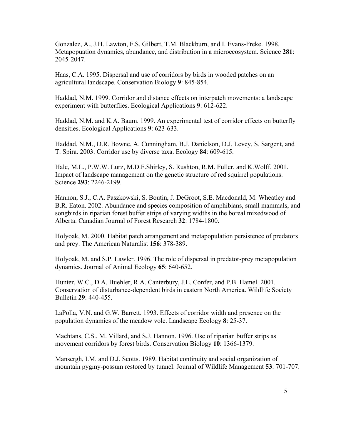Gonzalez, A., J.H. Lawton, F.S. Gilbert, T.M. Blackburn, and I. Evans-Freke. 1998. Metapopuation dynamics, abundance, and distribution in a microecosystem. Science **281**: 2045-2047.

Haas, C.A. 1995. Dispersal and use of corridors by birds in wooded patches on an agricultural landscape. Conservation Biology **9**: 845-854.

Haddad, N.M. 1999. Corridor and distance effects on interpatch movements: a landscape experiment with butterflies. Ecological Applications **9**: 612-622.

Haddad, N.M. and K.A. Baum. 1999. An experimental test of corridor effects on butterfly densities. Ecological Applications **9**: 623-633.

Haddad, N.M., D.R. Bowne, A. Cunningham, B.J. Danielson, D.J. Levey, S. Sargent, and T. Spira. 2003. Corridor use by diverse taxa. Ecology **84**: 609-615.

Hale, M.L., P.W.W. Lurz, M.D.F.Shirley, S. Rushton, R.M. Fuller, and K.Wolff. 2001. Impact of landscape management on the genetic structure of red squirrel populations. Science **293**: 2246-2199.

Hannon, S.J., C.A. Paszkowski, S. Boutin, J. DeGroot, S.E. Macdonald, M. Wheatley and B.R. Eaton. 2002. Abundance and species composition of amphibians, small mammals, and songbirds in riparian forest buffer strips of varying widths in the boreal mixedwood of Alberta. Canadian Journal of Forest Research **32**: 1784-1800.

Holyoak, M. 2000. Habitat patch arrangement and metapopulation persistence of predators and prey. The American Naturalist **156**: 378-389.

Holyoak, M. and S.P. Lawler. 1996. The role of dispersal in predator-prey metapopulation dynamics. Journal of Animal Ecology **65**: 640-652.

Hunter, W.C., D.A. Buehler, R.A. Canterbury, J.L. Confer, and P.B. Hamel. 2001. Conservation of disturbance-dependent birds in eastern North America. Wildlife Society Bulletin **29**: 440-455.

LaPolla, V.N. and G.W. Barrett. 1993. Effects of corridor width and presence on the population dynamics of the meadow vole. Landscape Ecology **8**: 25-37.

Machtans, C.S., M. Villard, and S.J. Hannon. 1996. Use of riparian buffer strips as movement corridors by forest birds. Conservation Biology **10**: 1366-1379.

Mansergh, I.M. and D.J. Scotts. 1989. Habitat continuity and social organization of mountain pygmy-possum restored by tunnel. Journal of Wildlife Management **53**: 701-707.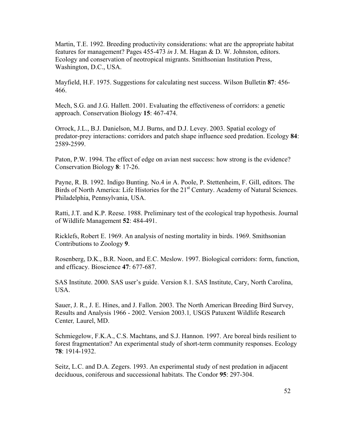Martin, T.E. 1992. Breeding productivity considerations: what are the appropriate habitat features for management? Pages 455-473 *in* J. M. Hagan & D. W. Johnston, editors. Ecology and conservation of neotropical migrants. Smithsonian Institution Press, Washington, D.C., USA.

Mayfield, H.F. 1975. Suggestions for calculating nest success. Wilson Bulletin **87**: 456- 466.

Mech, S.G. and J.G. Hallett. 2001. Evaluating the effectiveness of corridors: a genetic approach. Conservation Biology **15**: 467-474.

Orrock, J.L., B.J. Danielson, M.J. Burns, and D.J. Levey. 2003. Spatial ecology of predator-prey interactions: corridors and patch shape influence seed predation. Ecology **84**: 2589-2599.

Paton, P.W. 1994. The effect of edge on avian nest success: how strong is the evidence? Conservation Biology **8**: 17-26.

Payne, R. B. 1992. Indigo Bunting. No.4 i*n* A. Poole, P. Stettenheim, F. Gill, editors. The Birds of North America: Life Histories for the 21<sup>st</sup> Century. Academy of Natural Sciences. Philadelphia, Pennsylvania, USA.

Ratti, J.T. and K.P. Reese. 1988. Preliminary test of the ecological trap hypothesis. Journal of Wildlife Management **52**: 484-491.

Ricklefs, Robert E. 1969. An analysis of nesting mortality in birds. 1969. Smithsonian Contributions to Zoology **9**.

Rosenberg, D.K., B.R. Noon, and E.C. Meslow. 1997. Biological corridors: form, function, and efficacy. Bioscience **47**: 677-687.

SAS Institute. 2000. SAS user's guide. Version 8.1. SAS Institute, Cary, North Carolina, USA.

Sauer, J. R., J. E. Hines, and J. Fallon. 2003. The North American Breeding Bird Survey, Results and Analysis 1966 - 2002. Version 2003.1*,* USGS Patuxent Wildlife Research Center*,* Laurel, MD.

Schmiegelow, F.K.A., C.S. Machtans, and S.J. Hannon. 1997. Are boreal birds resilient to forest fragmentation? An experimental study of short-term community responses. Ecology **78**: 1914-1932.

Seitz, L.C. and D.A. Zegers. 1993. An experimental study of nest predation in adjacent deciduous, coniferous and successional habitats. The Condor **95**: 297-304.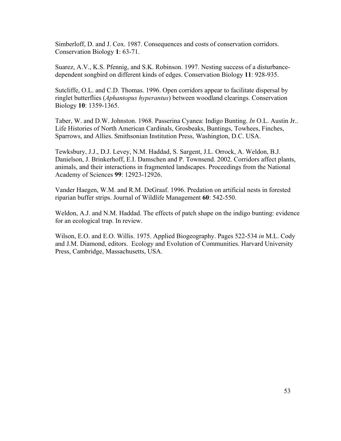Simberloff, D. and J. Cox. 1987. Consequences and costs of conservation corridors. Conservation Biology **1**: 63-71.

Suarez, A.V., K.S. Pfennig, and S.K. Robinson. 1997. Nesting success of a disturbancedependent songbird on different kinds of edges. Conservation Biology **11**: 928-935.

Sutcliffe, O.L. and C.D. Thomas. 1996. Open corridors appear to facilitate dispersal by ringlet butterflies (*Aphantopus hyperantus*) between woodland clearings. Conservation Biology **10**: 1359-1365.

Taber, W. and D.W. Johnston. 1968. Passerina Cyanea: Indigo Bunting. *In* O.L. Austin Jr.. Life Histories of North American Cardinals, Grosbeaks, Buntings, Towhees, Finches, Sparrows, and Allies. Smithsonian Institution Press, Washington, D.C. USA.

Tewksbury, J.J., D.J. Levey, N.M. Haddad, S. Sargent, J.L. Orrock, A. Weldon, B.J. Danielson, J. Brinkerhoff, E.I. Damschen and P. Townsend. 2002. Corridors affect plants, animals, and their interactions in fragmented landscapes. Proceedings from the National Academy of Sciences **99**: 12923-12926.

Vander Haegen, W.M. and R.M. DeGraaf. 1996. Predation on artificial nests in forested riparian buffer strips. Journal of Wildlife Management **60**: 542-550.

Weldon, A.J. and N.M. Haddad. The effects of patch shape on the indigo bunting: evidence for an ecological trap. In review.

Wilson, E.O. and E.O. Willis. 1975. Applied Biogeography. Pages 522-534 *in* M.L. Cody and J.M. Diamond, editors. Ecology and Evolution of Communities. Harvard University Press, Cambridge, Massachusetts, USA.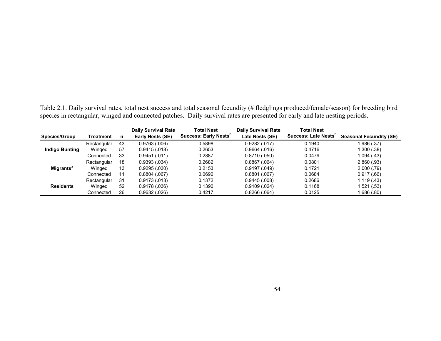Table 2.1. Daily survival rates, total nest success and total seasonal fecundity (# fledglings produced/female/season) for breeding bird species in rectangular, winged and connected patches. Daily survival rates are presented for early and late nesting periods.

|                             |             |    | <b>Daily Survival Rate</b> | <b>Total Nest</b>                 | <b>Daily Survival Rate</b> | <b>Total Nest</b>                |                                |
|-----------------------------|-------------|----|----------------------------|-----------------------------------|----------------------------|----------------------------------|--------------------------------|
| <b>Species/Group</b>        | Treatment   | n. | Early Nests (SE)           | Success: Early Nests <sup>p</sup> | Late Nests (SE)            | Success: Late Nests <sup>p</sup> | <b>Seasonal Fecundity (SE)</b> |
|                             | Rectangular | 43 | 0.9763(0.006)              | 0.5898                            | 0.9282(.017)               | 0.1940                           | .986 (.37)                     |
| <b>Indigo Bunting</b>       | Winged      | 57 | 0.9415(.018)               | 0.2653                            | 0.9664(.016)               | 0.4716                           | 1.300 (.38)                    |
|                             | Connected   | 33 | 0.9451(.011)               | 0.2887                            | 0.8710(0.050)              | 0.0479                           | 1.094(.43)                     |
|                             | Rectangular | 18 | 0.9393(.034)               | 0.2682                            | $0.8867$ $(.064)$          | 0.0801                           | 2.860(.93)                     |
| <b>Migrants<sup>a</sup></b> | Winged      | 13 | 0.9295(.030)               | 0.2153                            | 0.9197(.049)               | 0.1721                           | 2.000(.79)                     |
|                             | Connected   | 11 | 0.8804(.067)               | 0.0690                            | 0.8801(.067)               | 0.0684                           | 0.917(.66)                     |
|                             | Rectangular | 31 | 0.9173(0.013)              | 0.1372                            | 0.9445(.008)               | 0.2686                           | 1.119(0.43)                    |
| <b>Residents</b>            | Winged      | 52 | 0.9178(.036)               | 0.1390                            | 0.9109(.024)               | 0.1168                           | 1.521 (.53)                    |
|                             | Connected   | 26 | 0.9632(.026)               | 0.4217                            | 0.8266(.064)               | 0.0125                           | 1.686 (.80)                    |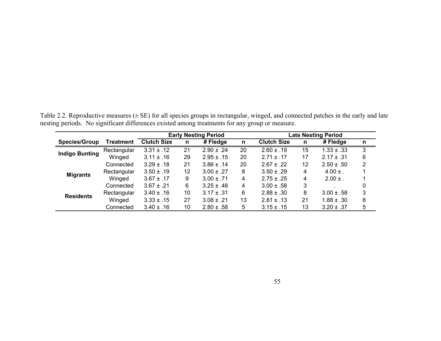Table 2.2. Reproductive measures (± SE) for all species groups in rectangular, winged, and connected patches in the early and late nesting periods. No significant differences existed among treatments for any group or measure.

|                       |                  |                    |    | <b>Early Nesting Period</b> |    |                    |    | <b>Late Nesting Period</b> |   |
|-----------------------|------------------|--------------------|----|-----------------------------|----|--------------------|----|----------------------------|---|
| <b>Species/Group</b>  | <b>Treatment</b> | <b>Clutch Size</b> | n  | $#$ Fledge                  | n  | <b>Clutch Size</b> | n  | # Fledge                   | n |
| <b>Indigo Bunting</b> | Rectangular      | $3.31 \pm .12$     | 21 | $2.90 \pm .24$              | 20 | $2.60 \pm .19$     | 15 | $1.33 \pm .33$             | 3 |
|                       | Winged           | $3.11 \pm .16$     | 29 | $2.95 \pm .15$              | 20 | $2.71 \pm .17$     | 17 | $2.17 \pm .31$             | 6 |
|                       | Connected        | $3.29 \pm .18$     | 21 | $3.86 \pm .14$              | 20 | $2.67 \pm .22$     | 12 | $2.50 \pm .50$             | 2 |
| <b>Migrants</b>       | Rectangular      | $3.50 \pm .19$     | 12 | $3.00 \pm .27$              | 8  | $3.50 \pm .29$     | 4  | $4.00 \pm .$               |   |
|                       | Winged           | $3.67 \pm .17$     | 9  | $3.00 \pm .71$              | 4  | $2.75 \pm .25$     | 4  | $2.00 \pm .$               |   |
|                       | Connected        | $3.67 \pm .21$     | 6  | $3.25 \pm .48$              | 4  | $3.00 \pm .58$     | 3  |                            | 0 |
| <b>Residents</b>      | Rectangular      | $3.40 \pm .16$     | 10 | $3.17 \pm .31$              | 6  | $2.88 \pm .30$     | 8  | $3.00 \pm .58$             | 3 |
|                       | Winged           | $3.33 \pm .15$     | 27 | $3.08 \pm .21$              | 13 | $2.81 \pm .13$     | 21 | $1.88 \pm .30$             | 8 |
|                       | Connected        | $3.40 \pm .16$     | 10 | $2.80 \pm .58$              | 5  | $3.15 \pm .15$     | 13 | $3.20 \pm .37$             | 5 |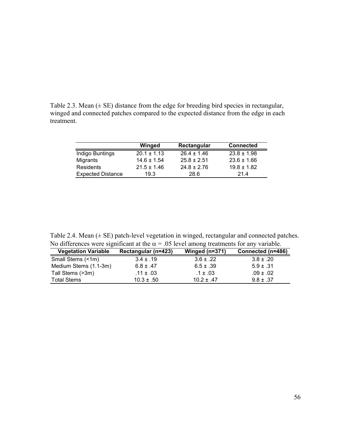Table 2.3. Mean  $(\pm \text{ SE})$  distance from the edge for breeding bird species in rectangular, winged and connected patches compared to the expected distance from the edge in each treatment.

|                          | Winged          | Rectangular     | <b>Connected</b> |
|--------------------------|-----------------|-----------------|------------------|
| Indigo Buntings          | $20.1 \pm 1.13$ | $26.4 \pm 1.46$ | $23.8 \pm 1.98$  |
| Migrants                 | $14.6 \pm 1.54$ | $25.8 \pm 2.51$ | $23.6 \pm 1.66$  |
| <b>Residents</b>         | $21.5 \pm 1.46$ | $24.8 \pm 2.76$ | $19.8 \pm 1.82$  |
| <b>Expected Distance</b> | 19.3            | 28.6            | 214              |

Table 2.4. Mean  $(\pm \text{ SE})$  patch-level vegetation in winged, rectangular and connected patches. No differences were significant at the  $\alpha$  = .05 level among treatments for any variable.

| <b>Vegetation Variable</b> | Rectangular (n=423) | Winged $(n=371)$ | Connected (n=486) |
|----------------------------|---------------------|------------------|-------------------|
| Small Stems (<1m)          | $3.4 \pm .19$       | $3.6 \pm .22$    | $3.8 \pm .20$     |
| Medium Stems (1.1-3m)      | $6.8 \pm .47$       | $6.5 \pm .39$    | $5.9 \pm .31$     |
| Tall Stems (>3m)           | .11 $\pm$ .03       | $.1 \pm .03$     | $.09 \pm .02$     |
| <b>Total Stems</b>         | $10.3 \pm .50$      | $10.2 + .47$     | $9.8 \pm .37$     |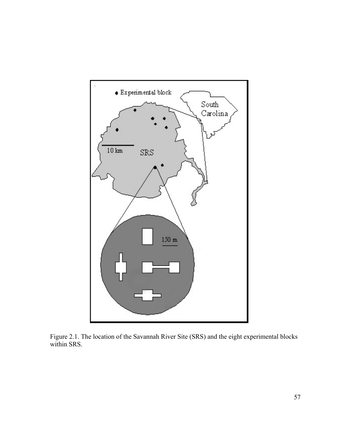

Figure 2.1. The location of the Savannah River Site (SRS) and the eight experimental blocks within SRS.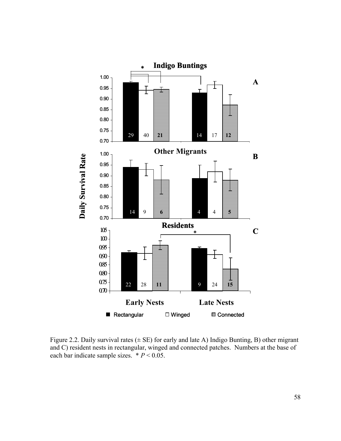

Figure 2.2. Daily survival rates  $(\pm \text{ SE})$  for early and late A) Indigo Bunting, B) other migrant and C) resident nests in rectangular, winged and connected patches. Numbers at the base of each bar indicate sample sizes.  $* P < 0.05$ .